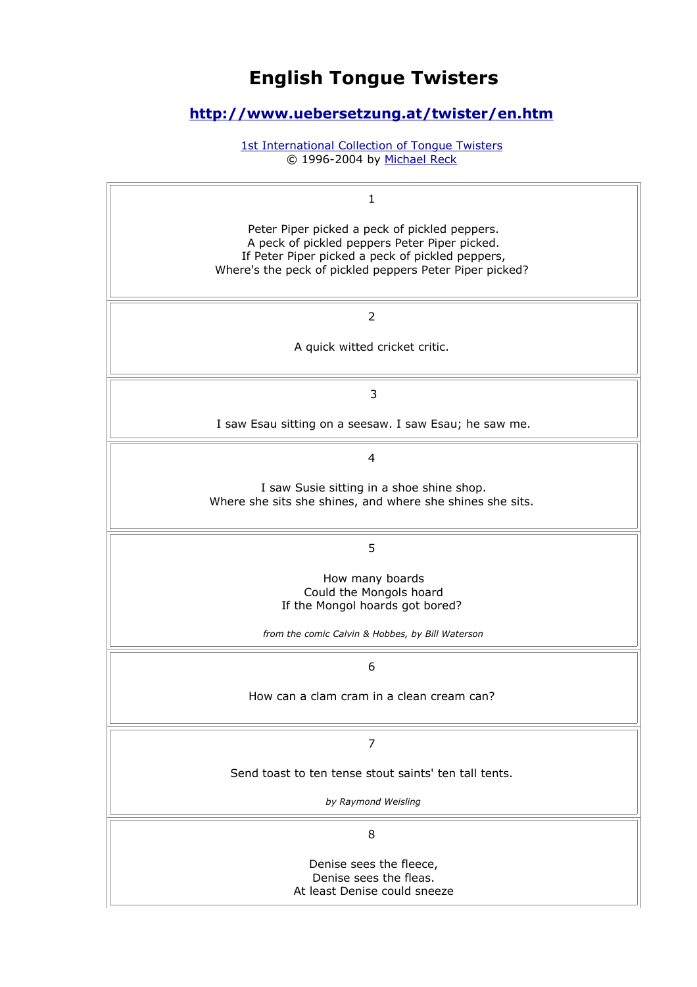# **English Tongue Twisters**

## **<http://www.uebersetzung.at/twister/en.htm>**

[1st International Collection of Tongue Twisters](http://www.uebersetzung.at/twister/index.htm) © 1996-2004 by [Michael Reck](mailto:MR.TWISTER%5C(%D0%B2%5C)tongue-twister.net?SUBJECT=TONGUE-TWISTER-PAGE)

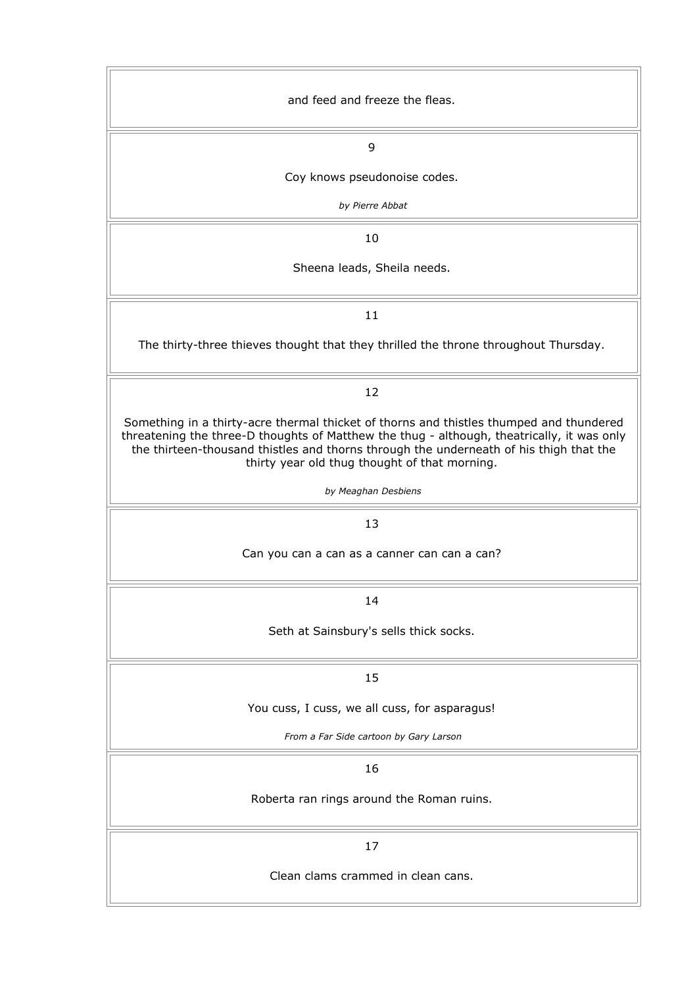| and feed and freeze the fleas.                                                                                                                                                                                                                                                                                                   |
|----------------------------------------------------------------------------------------------------------------------------------------------------------------------------------------------------------------------------------------------------------------------------------------------------------------------------------|
| 9                                                                                                                                                                                                                                                                                                                                |
| Coy knows pseudonoise codes.                                                                                                                                                                                                                                                                                                     |
| by Pierre Abbat                                                                                                                                                                                                                                                                                                                  |
| 10                                                                                                                                                                                                                                                                                                                               |
| Sheena leads, Sheila needs.                                                                                                                                                                                                                                                                                                      |
| 11                                                                                                                                                                                                                                                                                                                               |
| The thirty-three thieves thought that they thrilled the throne throughout Thursday.                                                                                                                                                                                                                                              |
| 12                                                                                                                                                                                                                                                                                                                               |
| Something in a thirty-acre thermal thicket of thorns and thistles thumped and thundered<br>threatening the three-D thoughts of Matthew the thug - although, theatrically, it was only<br>the thirteen-thousand thistles and thorns through the underneath of his thigh that the<br>thirty year old thug thought of that morning. |
| by Meaghan Desbiens                                                                                                                                                                                                                                                                                                              |
| 13                                                                                                                                                                                                                                                                                                                               |
| Can you can a can as a canner can can a can?                                                                                                                                                                                                                                                                                     |
| 14                                                                                                                                                                                                                                                                                                                               |
| Seth at Sainsbury's sells thick socks.                                                                                                                                                                                                                                                                                           |
| 15                                                                                                                                                                                                                                                                                                                               |
| You cuss, I cuss, we all cuss, for asparagus!                                                                                                                                                                                                                                                                                    |
| From a Far Side cartoon by Gary Larson                                                                                                                                                                                                                                                                                           |
| 16                                                                                                                                                                                                                                                                                                                               |
| Roberta ran rings around the Roman ruins.                                                                                                                                                                                                                                                                                        |
| 17                                                                                                                                                                                                                                                                                                                               |
| Clean clams crammed in clean cans.                                                                                                                                                                                                                                                                                               |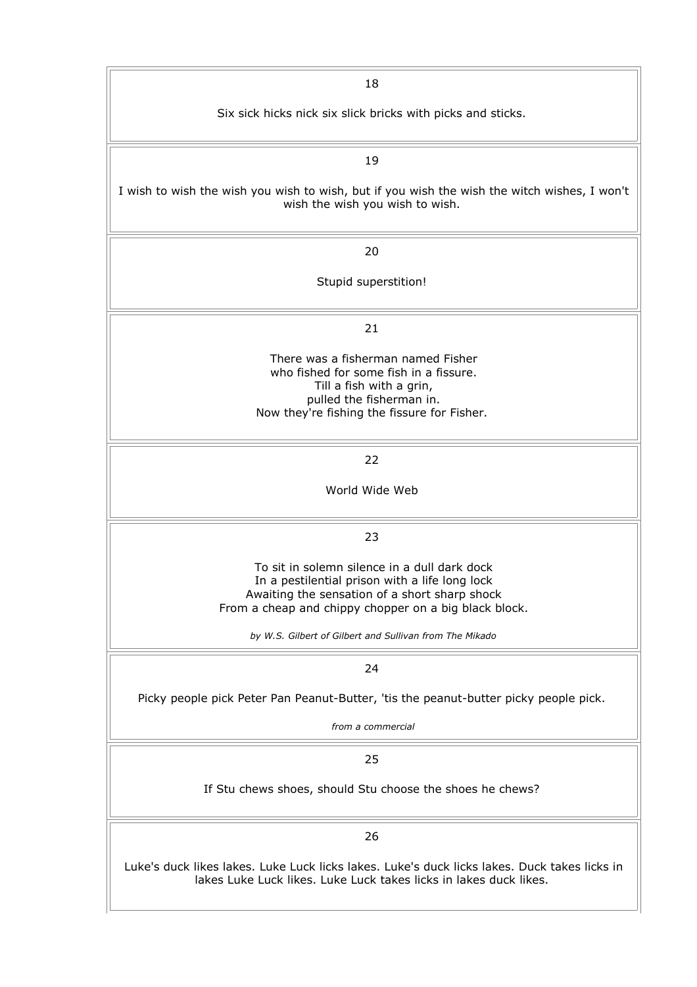| 18                                                                                                                                                                                                       |
|----------------------------------------------------------------------------------------------------------------------------------------------------------------------------------------------------------|
| Six sick hicks nick six slick bricks with picks and sticks.                                                                                                                                              |
| 19                                                                                                                                                                                                       |
| I wish to wish the wish you wish to wish, but if you wish the wish the witch wishes, I won't<br>wish the wish you wish to wish.                                                                          |
| 20                                                                                                                                                                                                       |
| Stupid superstition!                                                                                                                                                                                     |
| 21                                                                                                                                                                                                       |
| There was a fisherman named Fisher<br>who fished for some fish in a fissure.<br>Till a fish with a grin,<br>pulled the fisherman in.<br>Now they're fishing the fissure for Fisher.                      |
| 22                                                                                                                                                                                                       |
| World Wide Web                                                                                                                                                                                           |
| 23                                                                                                                                                                                                       |
| To sit in solemn silence in a dull dark dock<br>In a pestilential prison with a life long lock<br>Awaiting the sensation of a short sharp shock<br>From a cheap and chippy chopper on a big black block. |
| by W.S. Gilbert of Gilbert and Sullivan from The Mikado                                                                                                                                                  |
| 24                                                                                                                                                                                                       |
| Picky people pick Peter Pan Peanut-Butter, 'tis the peanut-butter picky people pick.                                                                                                                     |
| from a commercial                                                                                                                                                                                        |
| 25                                                                                                                                                                                                       |
| If Stu chews shoes, should Stu choose the shoes he chews?                                                                                                                                                |
| 26                                                                                                                                                                                                       |
| Luke's duck likes lakes. Luke Luck licks lakes. Luke's duck licks lakes. Duck takes licks in<br>lakes Luke Luck likes. Luke Luck takes licks in lakes duck likes.                                        |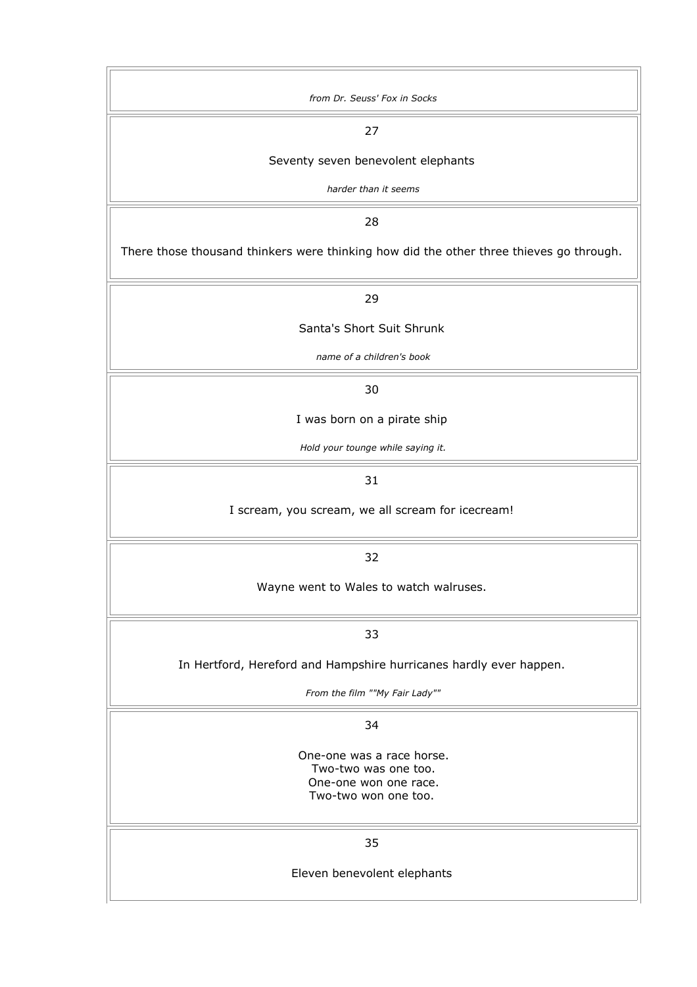| from Dr. Seuss' Fox in Socks                                                            |
|-----------------------------------------------------------------------------------------|
| 27                                                                                      |
| Seventy seven benevolent elephants                                                      |
| harder than it seems                                                                    |
| 28                                                                                      |
| There those thousand thinkers were thinking how did the other three thieves go through. |
| 29                                                                                      |
| Santa's Short Suit Shrunk                                                               |
| name of a children's book                                                               |
| 30                                                                                      |
| I was born on a pirate ship                                                             |
| Hold your tounge while saying it.                                                       |
| 31                                                                                      |
| I scream, you scream, we all scream for icecream!                                       |
| 32                                                                                      |
| Wayne went to Wales to watch walruses.                                                  |
| 33                                                                                      |
| In Hertford, Hereford and Hampshire hurricanes hardly ever happen.                      |
| From the film ""My Fair Lady""                                                          |
| 34                                                                                      |
| One-one was a race horse.                                                               |
| Two-two was one too.<br>One-one won one race.                                           |
| Two-two won one too.                                                                    |
| 35                                                                                      |
| Eleven benevolent elephants                                                             |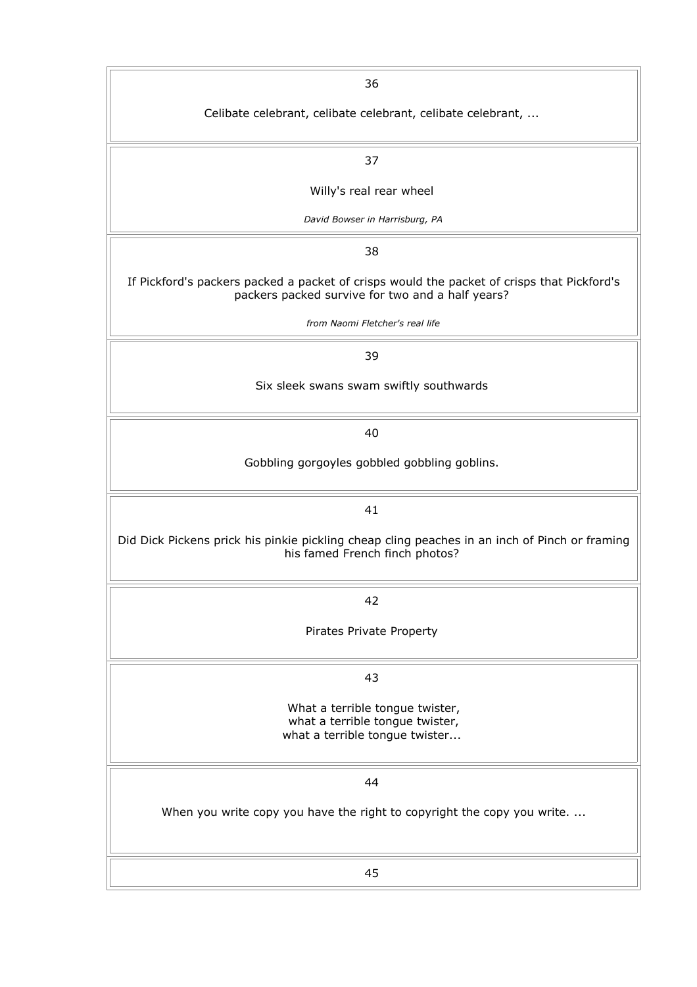| 36                                                                                                                                             |
|------------------------------------------------------------------------------------------------------------------------------------------------|
| Celibate celebrant, celibate celebrant, celibate celebrant,                                                                                    |
| 37                                                                                                                                             |
| Willy's real rear wheel                                                                                                                        |
| David Bowser in Harrisburg, PA                                                                                                                 |
| 38                                                                                                                                             |
| If Pickford's packers packed a packet of crisps would the packet of crisps that Pickford's<br>packers packed survive for two and a half years? |
| from Naomi Fletcher's real life                                                                                                                |
| 39                                                                                                                                             |
| Six sleek swans swam swiftly southwards                                                                                                        |
| 40                                                                                                                                             |
| Gobbling gorgoyles gobbled gobbling goblins.                                                                                                   |
| 41                                                                                                                                             |
| Did Dick Pickens prick his pinkie pickling cheap cling peaches in an inch of Pinch or framing<br>his famed French finch photos?                |
| 42                                                                                                                                             |
| Pirates Private Property                                                                                                                       |
| 43                                                                                                                                             |
| What a terrible tongue twister,<br>what a terrible tongue twister,<br>what a terrible tongue twister                                           |
| 44                                                                                                                                             |
| When you write copy you have the right to copyright the copy you write                                                                         |
| 45                                                                                                                                             |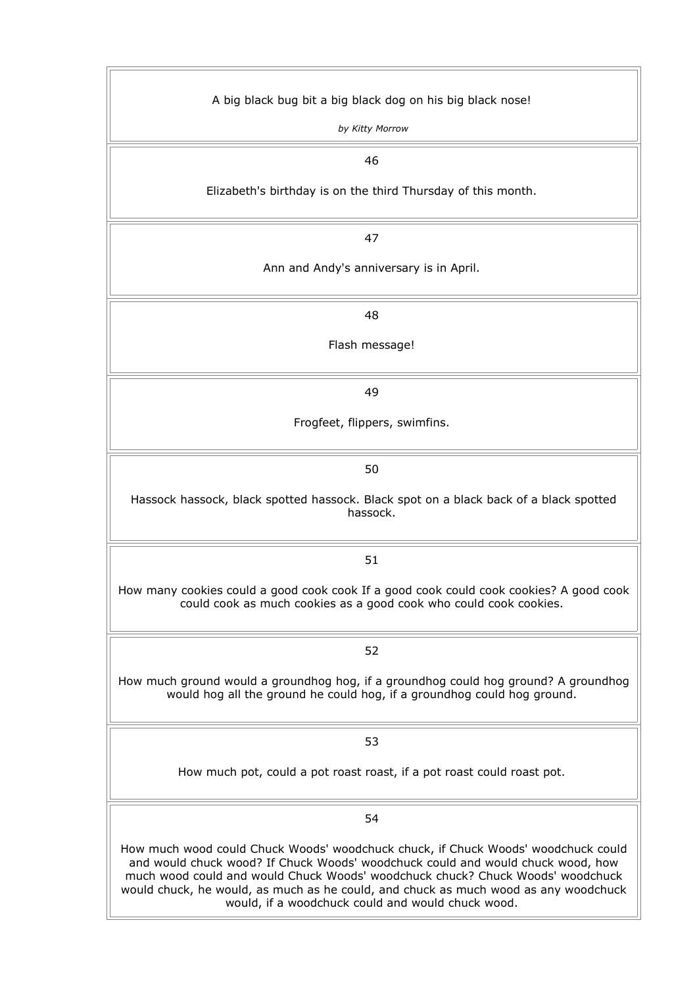| A big black bug bit a big black dog on his big black nose!                                                                                                                                                                                                                                                                                                                                         |
|----------------------------------------------------------------------------------------------------------------------------------------------------------------------------------------------------------------------------------------------------------------------------------------------------------------------------------------------------------------------------------------------------|
| by Kitty Morrow                                                                                                                                                                                                                                                                                                                                                                                    |
| 46                                                                                                                                                                                                                                                                                                                                                                                                 |
| Elizabeth's birthday is on the third Thursday of this month.                                                                                                                                                                                                                                                                                                                                       |
|                                                                                                                                                                                                                                                                                                                                                                                                    |
| 47                                                                                                                                                                                                                                                                                                                                                                                                 |
| Ann and Andy's anniversary is in April.                                                                                                                                                                                                                                                                                                                                                            |
| 48                                                                                                                                                                                                                                                                                                                                                                                                 |
| Flash message!                                                                                                                                                                                                                                                                                                                                                                                     |
| 49                                                                                                                                                                                                                                                                                                                                                                                                 |
| Frogfeet, flippers, swimfins.                                                                                                                                                                                                                                                                                                                                                                      |
| 50                                                                                                                                                                                                                                                                                                                                                                                                 |
| Hassock hassock, black spotted hassock. Black spot on a black back of a black spotted<br>hassock.                                                                                                                                                                                                                                                                                                  |
| 51                                                                                                                                                                                                                                                                                                                                                                                                 |
| How many cookies could a good cook cook If a good cook could cook cookies? A good cook<br>could cook as much cookies as a good cook who could cook cookies.                                                                                                                                                                                                                                        |
| 52                                                                                                                                                                                                                                                                                                                                                                                                 |
| How much ground would a groundhog hog, if a groundhog could hog ground? A groundhog<br>would hog all the ground he could hog, if a groundhog could hog ground.                                                                                                                                                                                                                                     |
| 53                                                                                                                                                                                                                                                                                                                                                                                                 |
| How much pot, could a pot roast roast, if a pot roast could roast pot.                                                                                                                                                                                                                                                                                                                             |
| 54                                                                                                                                                                                                                                                                                                                                                                                                 |
| How much wood could Chuck Woods' woodchuck chuck, if Chuck Woods' woodchuck could<br>and would chuck wood? If Chuck Woods' woodchuck could and would chuck wood, how<br>much wood could and would Chuck Woods' woodchuck chuck? Chuck Woods' woodchuck<br>would chuck, he would, as much as he could, and chuck as much wood as any woodchuck<br>would, if a woodchuck could and would chuck wood. |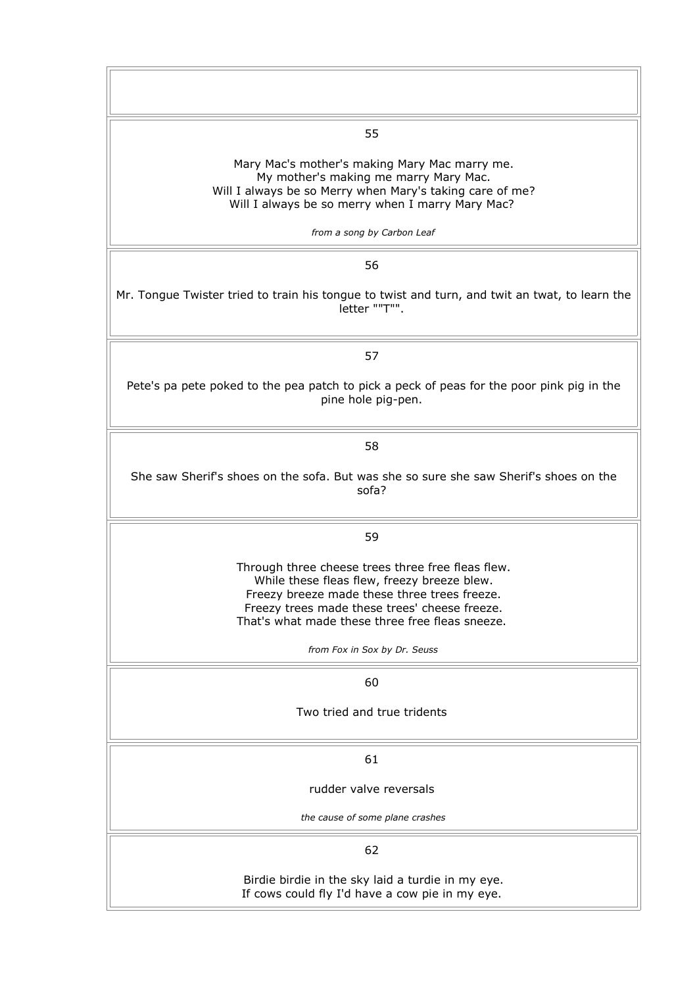| 55                                                                                                                                                                                                                                                                                  |
|-------------------------------------------------------------------------------------------------------------------------------------------------------------------------------------------------------------------------------------------------------------------------------------|
| Mary Mac's mother's making Mary Mac marry me.<br>My mother's making me marry Mary Mac.<br>Will I always be so Merry when Mary's taking care of me?<br>Will I always be so merry when I marry Mary Mac?                                                                              |
| from a song by Carbon Leaf                                                                                                                                                                                                                                                          |
| 56                                                                                                                                                                                                                                                                                  |
| Mr. Tongue Twister tried to train his tongue to twist and turn, and twit an twat, to learn the<br>letter ""T"".                                                                                                                                                                     |
| 57                                                                                                                                                                                                                                                                                  |
| Pete's pa pete poked to the pea patch to pick a peck of peas for the poor pink pig in the<br>pine hole pig-pen.                                                                                                                                                                     |
| 58                                                                                                                                                                                                                                                                                  |
| She saw Sherif's shoes on the sofa. But was she so sure she saw Sherif's shoes on the<br>sofa?                                                                                                                                                                                      |
| 59                                                                                                                                                                                                                                                                                  |
| Through three cheese trees three free fleas flew.<br>While these fleas flew, freezy breeze blew.<br>Freezy breeze made these three trees freeze<br>Freezy trees made these trees' cheese freeze.<br>That's what made these three free fleas sneeze.<br>from Fox in Sox by Dr. Seuss |
| 60                                                                                                                                                                                                                                                                                  |
| Two tried and true tridents                                                                                                                                                                                                                                                         |
| 61                                                                                                                                                                                                                                                                                  |
| rudder valve reversals                                                                                                                                                                                                                                                              |
| the cause of some plane crashes                                                                                                                                                                                                                                                     |
| 62                                                                                                                                                                                                                                                                                  |
| Birdie birdie in the sky laid a turdie in my eye.<br>If cows could fly I'd have a cow pie in my eye.                                                                                                                                                                                |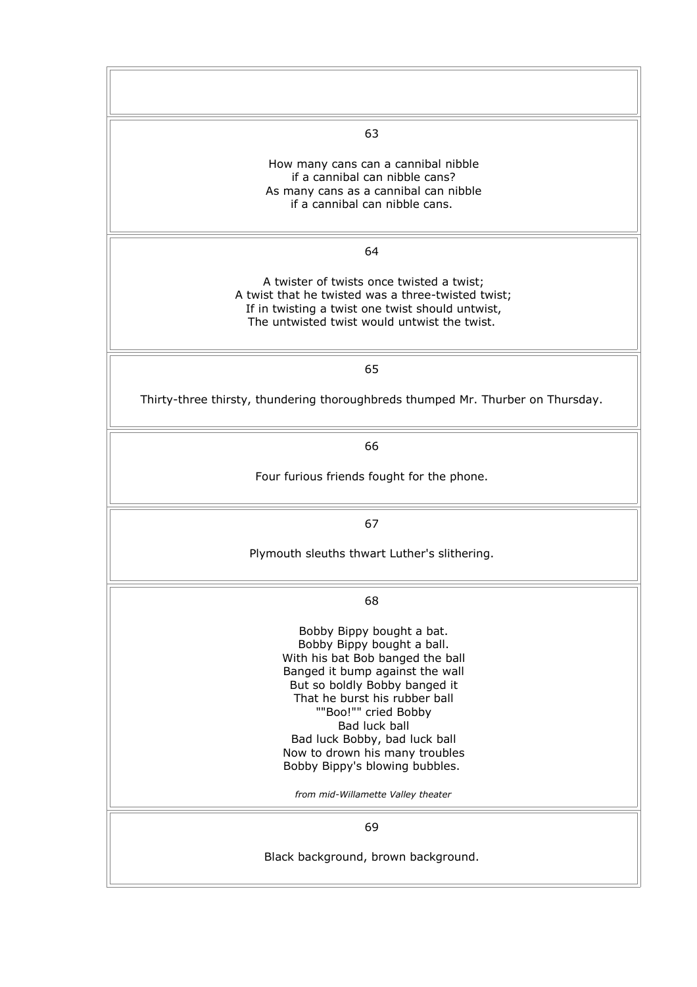| 63                                                                                                                                                                                                                                                                                                                                                                                   |
|--------------------------------------------------------------------------------------------------------------------------------------------------------------------------------------------------------------------------------------------------------------------------------------------------------------------------------------------------------------------------------------|
| How many cans can a cannibal nibble<br>if a cannibal can nibble cans?<br>As many cans as a cannibal can nibble<br>if a cannibal can nibble cans.                                                                                                                                                                                                                                     |
| 64                                                                                                                                                                                                                                                                                                                                                                                   |
| A twister of twists once twisted a twist;<br>A twist that he twisted was a three-twisted twist;<br>If in twisting a twist one twist should untwist,<br>The untwisted twist would untwist the twist.                                                                                                                                                                                  |
| 65                                                                                                                                                                                                                                                                                                                                                                                   |
| Thirty-three thirsty, thundering thoroughbreds thumped Mr. Thurber on Thursday.                                                                                                                                                                                                                                                                                                      |
| 66                                                                                                                                                                                                                                                                                                                                                                                   |
| Four furious friends fought for the phone.                                                                                                                                                                                                                                                                                                                                           |
| 67                                                                                                                                                                                                                                                                                                                                                                                   |
| Plymouth sleuths thwart Luther's slithering.                                                                                                                                                                                                                                                                                                                                         |
| 68                                                                                                                                                                                                                                                                                                                                                                                   |
| Bobby Bippy bought a bat.<br>Bobby Bippy bought a ball.<br>With his bat Bob banged the ball<br>Banged it bump against the wall<br>But so boldly Bobby banged it<br>That he burst his rubber ball<br>""Boo!"" cried Bobby<br>Bad luck ball<br>Bad luck Bobby, bad luck ball<br>Now to drown his many troubles<br>Bobby Bippy's blowing bubbles.<br>from mid-Willamette Valley theater |
| 69                                                                                                                                                                                                                                                                                                                                                                                   |
| Black background, brown background.                                                                                                                                                                                                                                                                                                                                                  |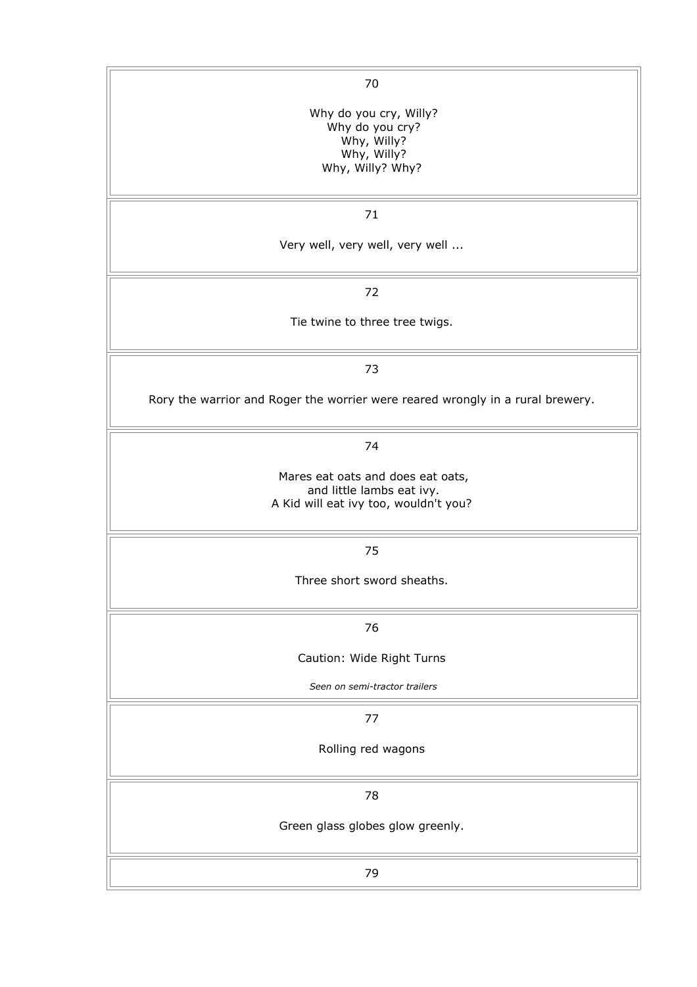| 70                                                                             |
|--------------------------------------------------------------------------------|
| Why do you cry, Willy?                                                         |
| Why do you cry?                                                                |
| Why, Willy?                                                                    |
| Why, Willy?                                                                    |
| Why, Willy? Why?                                                               |
|                                                                                |
| 71                                                                             |
|                                                                                |
| Very well, very well, very well                                                |
|                                                                                |
| 72                                                                             |
| Tie twine to three tree twigs.                                                 |
|                                                                                |
| 73                                                                             |
|                                                                                |
| Rory the warrior and Roger the worrier were reared wrongly in a rural brewery. |
|                                                                                |
| 74                                                                             |
|                                                                                |
| Mares eat oats and does eat oats,                                              |
| and little lambs eat ivy.                                                      |
| A Kid will eat ivy too, wouldn't you?                                          |
|                                                                                |
| 75                                                                             |
|                                                                                |
| Three short sword sheaths.                                                     |
|                                                                                |
| 76                                                                             |
| Caution: Wide Right Turns                                                      |
| Seen on semi-tractor trailers                                                  |
| 77                                                                             |
|                                                                                |
| Rolling red wagons                                                             |
|                                                                                |
| 78                                                                             |
| Green glass globes glow greenly.                                               |
|                                                                                |
| 79                                                                             |
|                                                                                |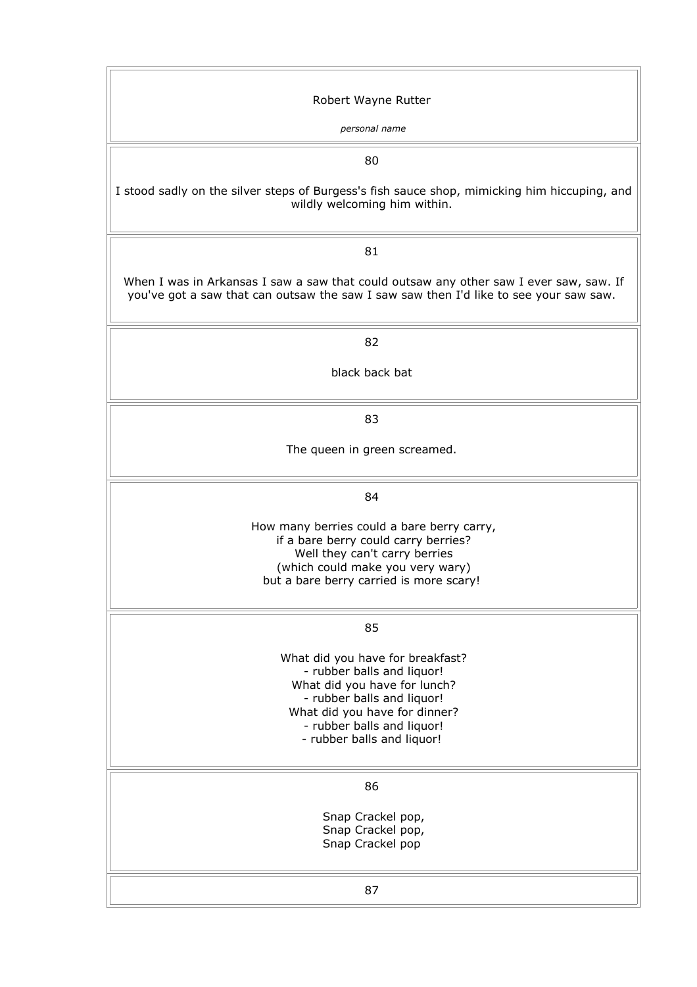| Robert Wayne Rutter                                                                                                                                                             |
|---------------------------------------------------------------------------------------------------------------------------------------------------------------------------------|
| personal name                                                                                                                                                                   |
| 80                                                                                                                                                                              |
| I stood sadly on the silver steps of Burgess's fish sauce shop, mimicking him hiccuping, and<br>wildly welcoming him within.                                                    |
| 81                                                                                                                                                                              |
| When I was in Arkansas I saw a saw that could outsaw any other saw I ever saw, saw. If<br>you've got a saw that can outsaw the saw I saw saw then I'd like to see your saw saw. |
| 82                                                                                                                                                                              |
| black back bat                                                                                                                                                                  |
| 83                                                                                                                                                                              |
| The queen in green screamed.                                                                                                                                                    |
| 84                                                                                                                                                                              |
| How many berries could a bare berry carry,<br>if a bare berry could carry berries?                                                                                              |
| Well they can't carry berries                                                                                                                                                   |
| (which could make you very wary)<br>but a bare berry carried is more scary!                                                                                                     |
| 85                                                                                                                                                                              |
|                                                                                                                                                                                 |
| What did you have for breakfast?<br>- rubber balls and liquor!                                                                                                                  |
| What did you have for lunch?                                                                                                                                                    |
| - rubber balls and liquor!<br>What did you have for dinner?                                                                                                                     |
| - rubber balls and liquor!                                                                                                                                                      |
| - rubber balls and liquor!                                                                                                                                                      |
| 86                                                                                                                                                                              |
| Snap Crackel pop,                                                                                                                                                               |
| Snap Crackel pop,<br>Snap Crackel pop                                                                                                                                           |
|                                                                                                                                                                                 |
| 87                                                                                                                                                                              |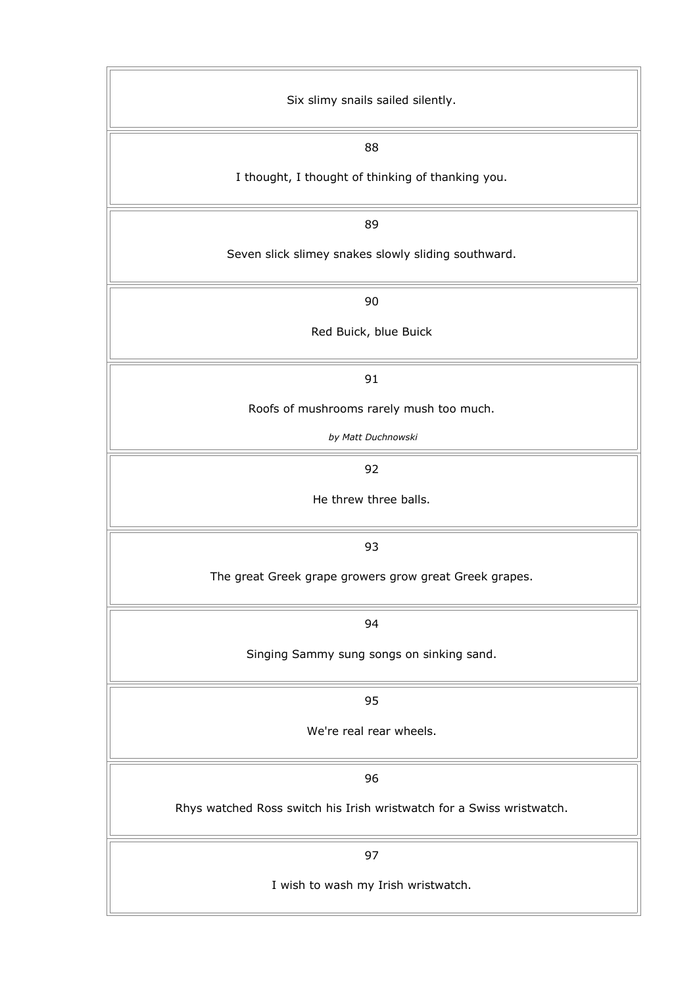| Six slimy snails sailed silently.                                     |
|-----------------------------------------------------------------------|
| 88                                                                    |
| I thought, I thought of thinking of thanking you.                     |
| 89                                                                    |
| Seven slick slimey snakes slowly sliding southward.                   |
| 90                                                                    |
| Red Buick, blue Buick                                                 |
| 91                                                                    |
| Roofs of mushrooms rarely mush too much.                              |
| by Matt Duchnowski                                                    |
| 92                                                                    |
| He threw three balls.                                                 |
| 93                                                                    |
| The great Greek grape growers grow great Greek grapes.                |
| 94                                                                    |
| Singing Sammy sung songs on sinking sand.                             |
| 95                                                                    |
| We're real rear wheels.                                               |
| 96                                                                    |
| Rhys watched Ross switch his Irish wristwatch for a Swiss wristwatch. |
| 97                                                                    |
| I wish to wash my Irish wristwatch.                                   |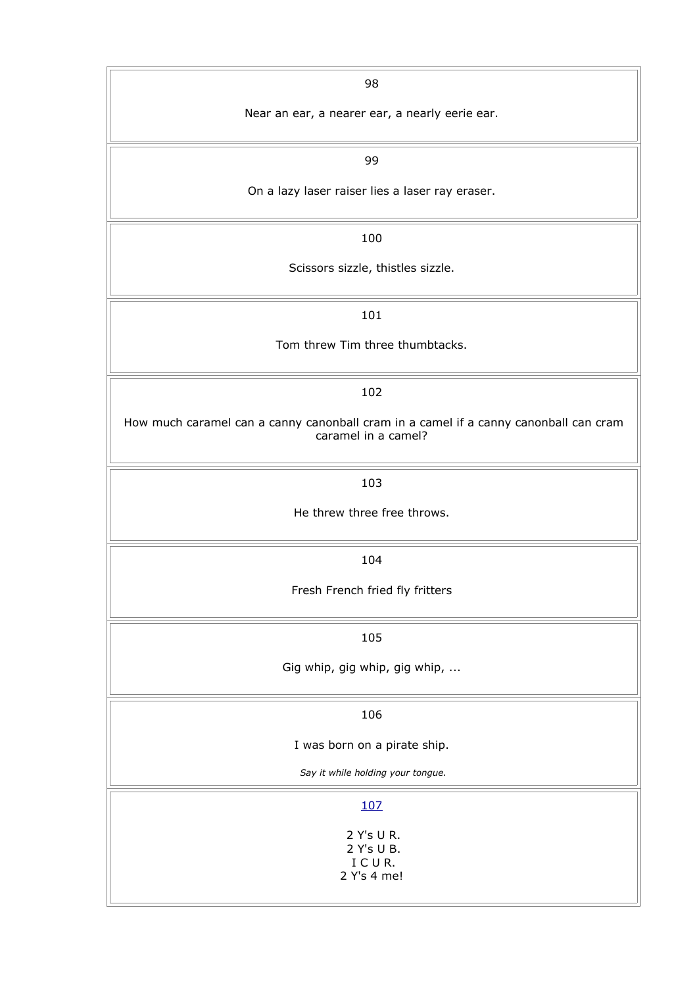| 98                                                                                                          |
|-------------------------------------------------------------------------------------------------------------|
| Near an ear, a nearer ear, a nearly eerie ear.                                                              |
| 99                                                                                                          |
| On a lazy laser raiser lies a laser ray eraser.                                                             |
| 100                                                                                                         |
| Scissors sizzle, thistles sizzle.                                                                           |
| 101                                                                                                         |
| Tom threw Tim three thumbtacks.                                                                             |
| 102                                                                                                         |
| How much caramel can a canny canonball cram in a camel if a canny canonball can cram<br>caramel in a camel? |
| 103                                                                                                         |
| He threw three free throws.                                                                                 |
| 104                                                                                                         |
| Fresh French fried fly fritters                                                                             |
| 105                                                                                                         |
| Gig whip, gig whip, gig whip,                                                                               |
| 106                                                                                                         |
| I was born on a pirate ship.                                                                                |
| Say it while holding your tongue.                                                                           |
| 107                                                                                                         |
| 2 Y's U R.<br>2 Y's U B.<br>ICUR.<br>2 Y's 4 me!                                                            |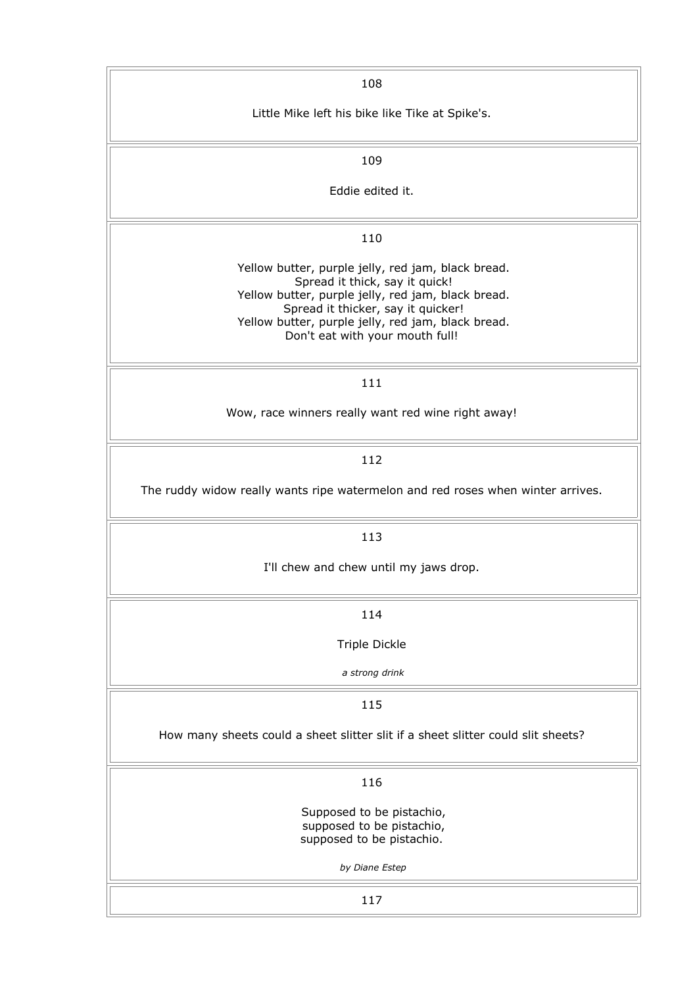| 108                                                                                                                                                                                                                                                                       |
|---------------------------------------------------------------------------------------------------------------------------------------------------------------------------------------------------------------------------------------------------------------------------|
| Little Mike left his bike like Tike at Spike's.                                                                                                                                                                                                                           |
| 109                                                                                                                                                                                                                                                                       |
| Eddie edited it.                                                                                                                                                                                                                                                          |
| 110                                                                                                                                                                                                                                                                       |
| Yellow butter, purple jelly, red jam, black bread.<br>Spread it thick, say it quick!<br>Yellow butter, purple jelly, red jam, black bread.<br>Spread it thicker, say it quicker!<br>Yellow butter, purple jelly, red jam, black bread.<br>Don't eat with your mouth full! |
| 111                                                                                                                                                                                                                                                                       |
| Wow, race winners really want red wine right away!                                                                                                                                                                                                                        |
| 112                                                                                                                                                                                                                                                                       |
| The ruddy widow really wants ripe watermelon and red roses when winter arrives.                                                                                                                                                                                           |
| 113                                                                                                                                                                                                                                                                       |
| I'll chew and chew until my jaws drop.                                                                                                                                                                                                                                    |
| 114                                                                                                                                                                                                                                                                       |
| Triple Dickle                                                                                                                                                                                                                                                             |
| a strong drink                                                                                                                                                                                                                                                            |
| 115                                                                                                                                                                                                                                                                       |
| How many sheets could a sheet slitter slit if a sheet slitter could slit sheets?                                                                                                                                                                                          |
| 116                                                                                                                                                                                                                                                                       |
| Supposed to be pistachio,<br>supposed to be pistachio,<br>supposed to be pistachio.                                                                                                                                                                                       |
| by Diane Estep                                                                                                                                                                                                                                                            |
| 117                                                                                                                                                                                                                                                                       |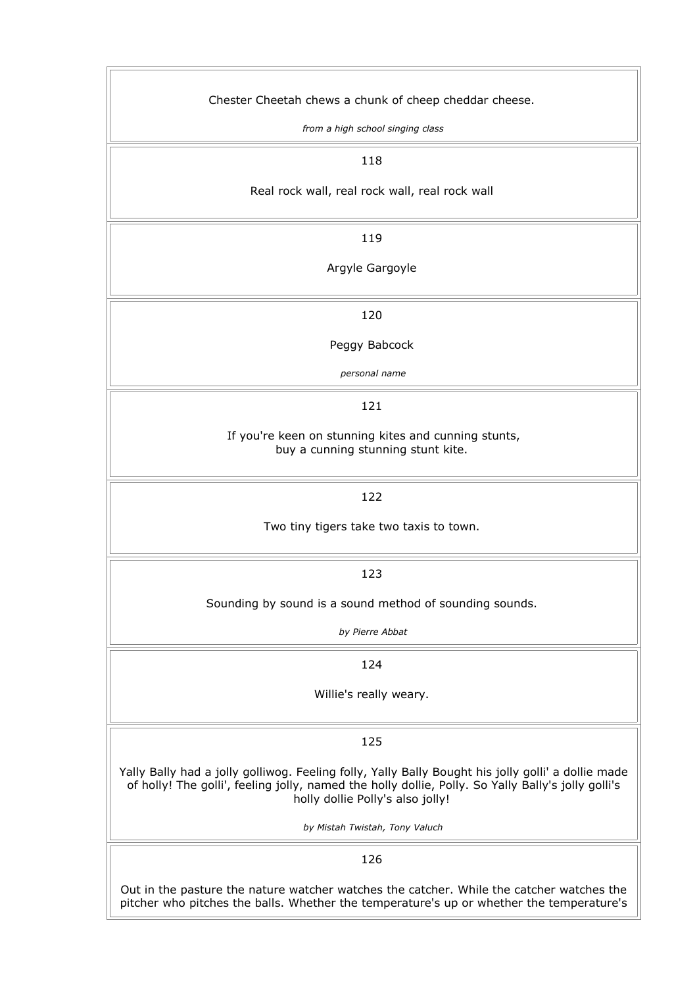| Chester Cheetah chews a chunk of cheep cheddar cheese.                                                                                                                                                                                       |
|----------------------------------------------------------------------------------------------------------------------------------------------------------------------------------------------------------------------------------------------|
| from a high school singing class                                                                                                                                                                                                             |
| 118                                                                                                                                                                                                                                          |
| Real rock wall, real rock wall, real rock wall                                                                                                                                                                                               |
| 119                                                                                                                                                                                                                                          |
| Argyle Gargoyle                                                                                                                                                                                                                              |
| 120                                                                                                                                                                                                                                          |
| Peggy Babcock                                                                                                                                                                                                                                |
| personal name                                                                                                                                                                                                                                |
| 121                                                                                                                                                                                                                                          |
| If you're keen on stunning kites and cunning stunts,<br>buy a cunning stunning stunt kite.                                                                                                                                                   |
| 122                                                                                                                                                                                                                                          |
| Two tiny tigers take two taxis to town.                                                                                                                                                                                                      |
| 123                                                                                                                                                                                                                                          |
| Sounding by sound is a sound method of sounding sounds.                                                                                                                                                                                      |
| by Pierre Abbat                                                                                                                                                                                                                              |
| 124                                                                                                                                                                                                                                          |
| Willie's really weary.                                                                                                                                                                                                                       |
| 125                                                                                                                                                                                                                                          |
| Yally Bally had a jolly golliwog. Feeling folly, Yally Bally Bought his jolly golli' a dollie made<br>of holly! The golli', feeling jolly, named the holly dollie, Polly. So Yally Bally's jolly golli's<br>holly dollie Polly's also jolly! |
| by Mistah Twistah, Tony Valuch                                                                                                                                                                                                               |
| 126                                                                                                                                                                                                                                          |
| Out in the pasture the nature watcher watches the catcher. While the catcher watches the<br>pitcher who pitches the balls. Whether the temperature's up or whether the temperature's                                                         |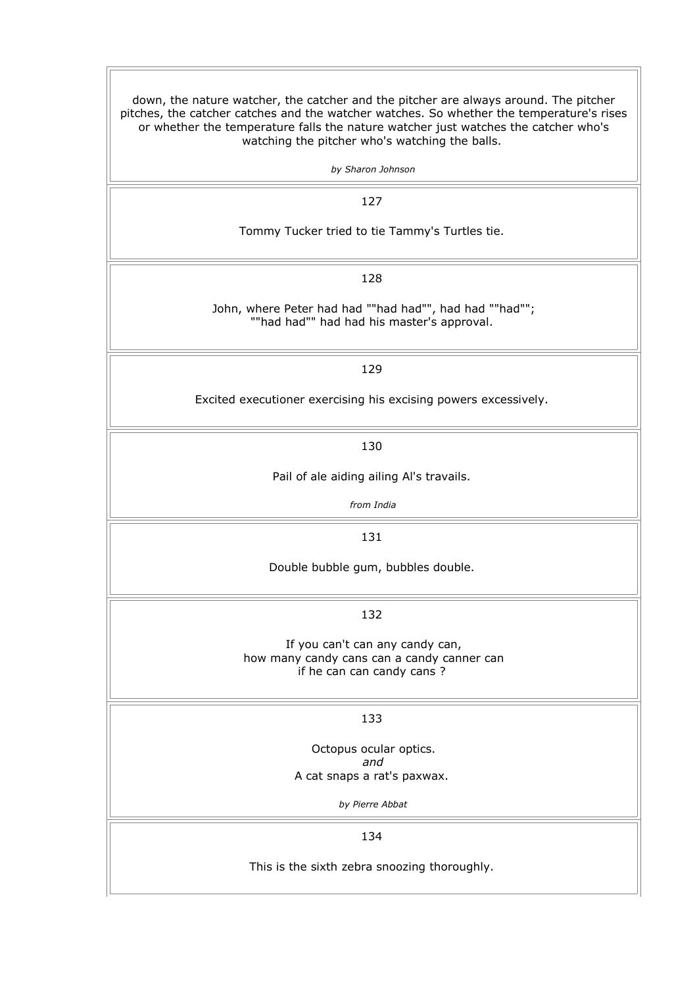down, the nature watcher, the catcher and the pitcher are always around. The pitcher pitches, the catcher catches and the watcher watches. So whether the temperature's rises or whether the temperature falls the nature watcher just watches the catcher who's watching the pitcher who's watching the balls. *by Sharon Johnson* 127 Tommy Tucker tried to tie Tammy's Turtles tie. 128 John, where Peter had had ""had had"", had had ""had""; ""had had"" had had his master's approval. 129 Excited executioner exercising his excising powers excessively. 130 Pail of ale aiding ailing Al's travails. *from India* 131 Double bubble gum, bubbles double. 132 If you can't can any candy can, how many candy cans can a candy canner can if he can can candy cans ? 133 Octopus ocular optics. *and* A cat snaps a rat's paxwax. *by Pierre Abbat* 134 This is the sixth zebra snoozing thoroughly.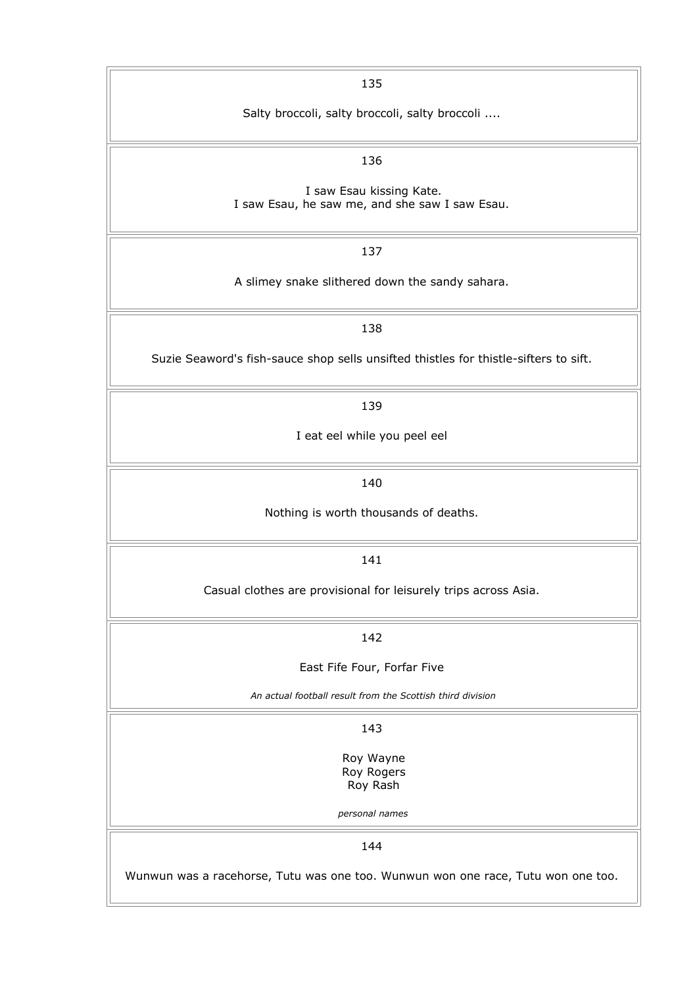| 135                                                                                  |
|--------------------------------------------------------------------------------------|
| Salty broccoli, salty broccoli, salty broccoli                                       |
| 136                                                                                  |
| I saw Esau kissing Kate.<br>I saw Esau, he saw me, and she saw I saw Esau.           |
| 137                                                                                  |
| A slimey snake slithered down the sandy sahara.                                      |
| 138                                                                                  |
| Suzie Seaword's fish-sauce shop sells unsifted thistles for thistle-sifters to sift. |
| 139                                                                                  |
| I eat eel while you peel eel                                                         |
| 140                                                                                  |
| Nothing is worth thousands of deaths.                                                |
| 141                                                                                  |
| Casual clothes are provisional for leisurely trips across Asia.                      |
| 142                                                                                  |
| East Fife Four, Forfar Five                                                          |
| An actual football result from the Scottish third division                           |
| 143                                                                                  |
| Roy Wayne<br>Roy Rogers                                                              |
| Roy Rash                                                                             |
| personal names                                                                       |
| 144                                                                                  |
| Wunwun was a racehorse, Tutu was one too. Wunwun won one race, Tutu won one too.     |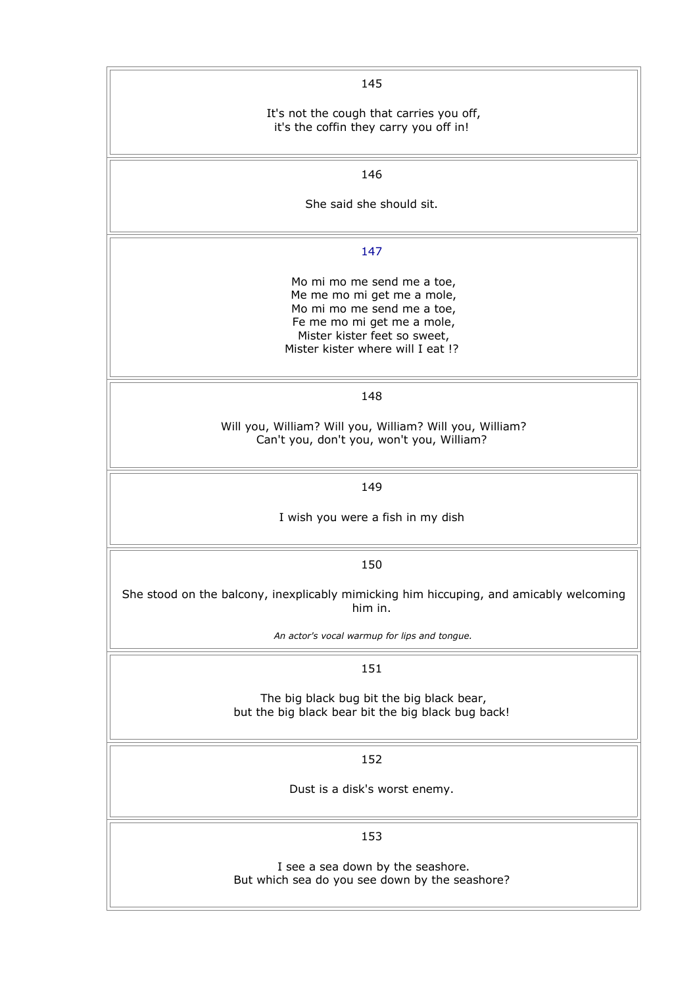| 145                                                                                                                                                                                       |
|-------------------------------------------------------------------------------------------------------------------------------------------------------------------------------------------|
| It's not the cough that carries you off,<br>it's the coffin they carry you off in!                                                                                                        |
| 146                                                                                                                                                                                       |
| She said she should sit.                                                                                                                                                                  |
| 147                                                                                                                                                                                       |
| Mo mi mo me send me a toe,<br>Me me mo mi get me a mole,<br>Mo mi mo me send me a toe,<br>Fe me mo mi get me a mole,<br>Mister kister feet so sweet,<br>Mister kister where will I eat !? |
| 148                                                                                                                                                                                       |
| Will you, William? Will you, William? Will you, William?<br>Can't you, don't you, won't you, William?                                                                                     |
| 149                                                                                                                                                                                       |
| I wish you were a fish in my dish                                                                                                                                                         |
| 150                                                                                                                                                                                       |
| She stood on the balcony, inexplicably mimicking him hiccuping, and amicably welcoming<br>him in.                                                                                         |
| An actor's vocal warmup for lips and tongue.                                                                                                                                              |
| 151                                                                                                                                                                                       |
| The big black bug bit the big black bear,<br>but the big black bear bit the big black bug back!                                                                                           |
| 152                                                                                                                                                                                       |
| Dust is a disk's worst enemy.                                                                                                                                                             |
| 153                                                                                                                                                                                       |
| I see a sea down by the seashore.<br>But which sea do you see down by the seashore?                                                                                                       |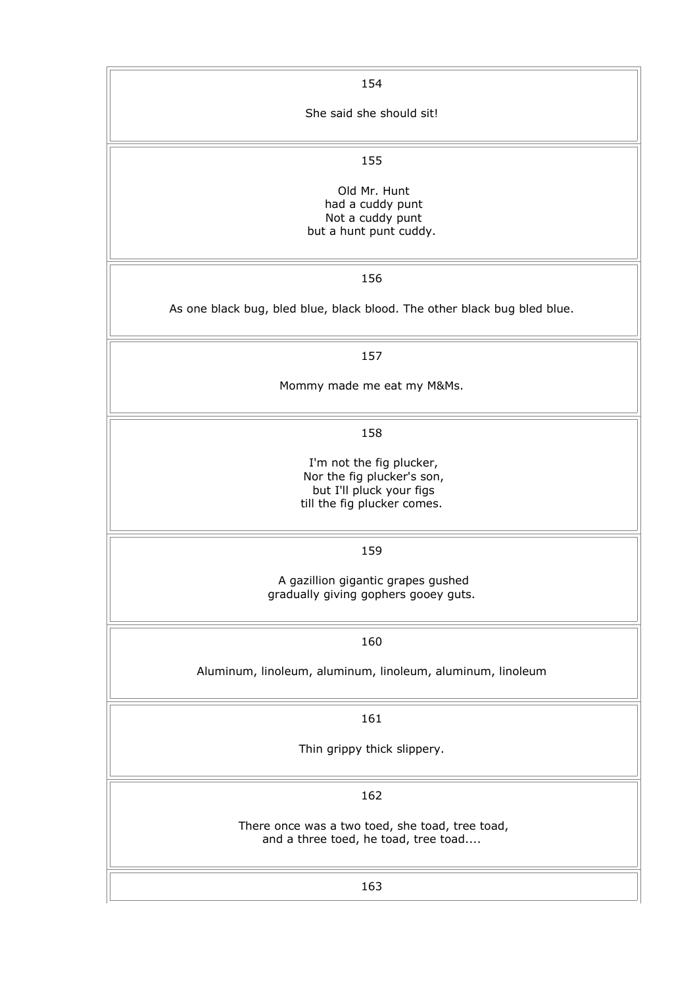| 154                                                                      |
|--------------------------------------------------------------------------|
| She said she should sit!                                                 |
|                                                                          |
| 155                                                                      |
| Old Mr. Hunt<br>had a cuddy punt                                         |
| Not a cuddy punt<br>but a hunt punt cuddy.                               |
|                                                                          |
| 156                                                                      |
| As one black bug, bled blue, black blood. The other black bug bled blue. |
| 157                                                                      |
| Mommy made me eat my M&Ms.                                               |
|                                                                          |
| 158                                                                      |
| I'm not the fig plucker,                                                 |
| Nor the fig plucker's son,<br>but I'll pluck your figs                   |
| till the fig plucker comes.                                              |
| 159                                                                      |
| A gazillion gigantic grapes gushed                                       |
| gradually giving gophers gooey guts.                                     |
| 160                                                                      |
| Aluminum, linoleum, aluminum, linoleum, aluminum, linoleum               |
|                                                                          |
| 161                                                                      |
| Thin grippy thick slippery.                                              |
|                                                                          |
| 162                                                                      |
| There once was a two toed, she toad, tree toad,                          |
| and a three toed, he toad, tree toad                                     |
| 163                                                                      |
|                                                                          |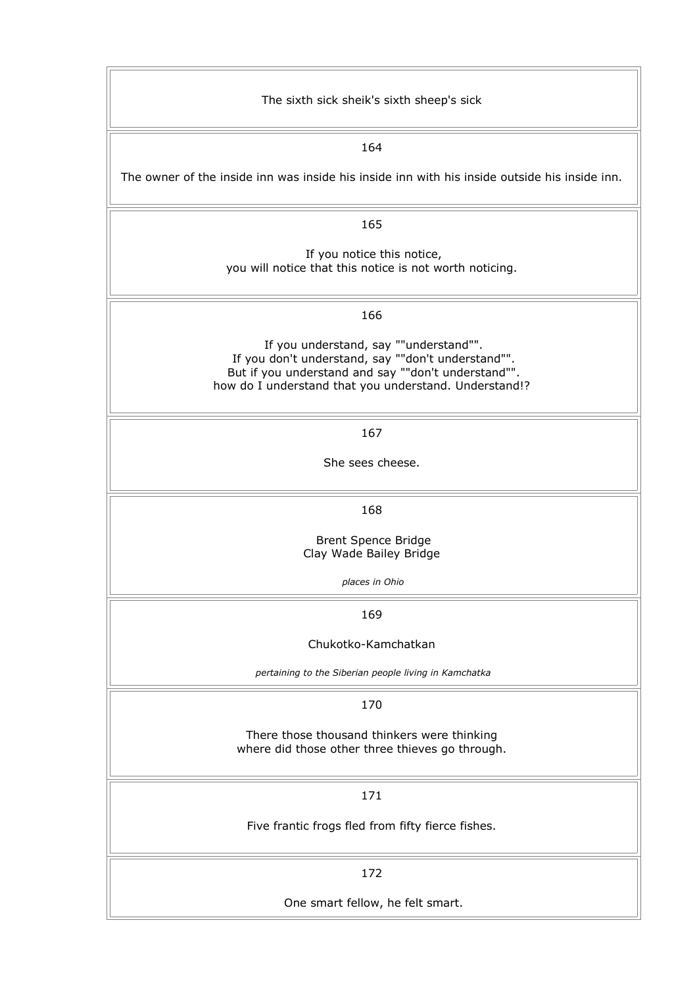| The sixth sick sheik's sixth sheep's sick                                                                                                                                                                    |
|--------------------------------------------------------------------------------------------------------------------------------------------------------------------------------------------------------------|
| 164                                                                                                                                                                                                          |
| The owner of the inside inn was inside his inside inn with his inside outside his inside inn.                                                                                                                |
| 165                                                                                                                                                                                                          |
| If you notice this notice,<br>you will notice that this notice is not worth noticing.                                                                                                                        |
| 166                                                                                                                                                                                                          |
| If you understand, say ""understand"".<br>If you don't understand, say ""don't understand"".<br>But if you understand and say ""don't understand"".<br>how do I understand that you understand. Understand!? |
| 167                                                                                                                                                                                                          |
| She sees cheese.                                                                                                                                                                                             |
| 168                                                                                                                                                                                                          |
| Brent Spence Bridge<br>Clay Wade Bailey Bridge                                                                                                                                                               |
| places in Ohio                                                                                                                                                                                               |
| 169                                                                                                                                                                                                          |
| Chukotko-Kamchatkan                                                                                                                                                                                          |
| pertaining to the Siberian people living in Kamchatka                                                                                                                                                        |
| 170                                                                                                                                                                                                          |
| There those thousand thinkers were thinking<br>where did those other three thieves go through.                                                                                                               |
| 171                                                                                                                                                                                                          |
| Five frantic frogs fled from fifty fierce fishes.                                                                                                                                                            |
| 172                                                                                                                                                                                                          |
| One smart fellow, he felt smart.                                                                                                                                                                             |

 $\overline{a}$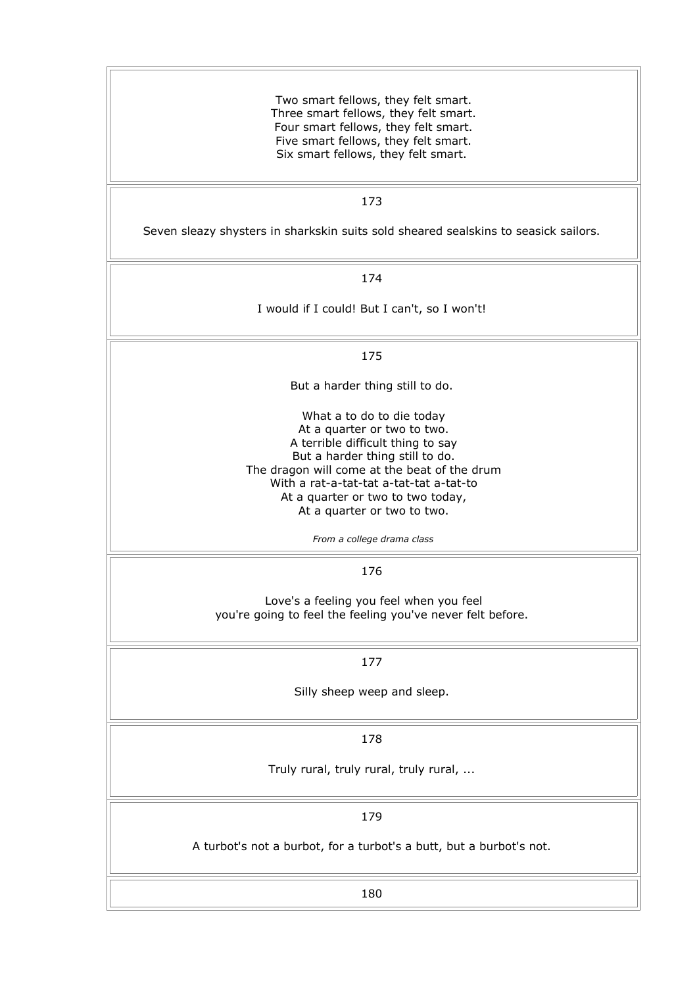Two smart fellows, they felt smart. Three smart fellows, they felt smart. Four smart fellows, they felt smart. Five smart fellows, they felt smart. Six smart fellows, they felt smart.

#### 173

Seven sleazy shysters in sharkskin suits sold sheared sealskins to seasick sailors.

174

I would if I could! But I can't, so I won't!

175

But a harder thing still to do.

What a to do to die today At a quarter or two to two. A terrible difficult thing to say But a harder thing still to do. The dragon will come at the beat of the drum With a rat-a-tat-tat a-tat-tat a-tat-to At a quarter or two to two today, At a quarter or two to two.

*From a college drama class*

176

Love's a feeling you feel when you feel you're going to feel the feeling you've never felt before.

177

Silly sheep weep and sleep.

178

Truly rural, truly rural, truly rural, ...

179

A turbot's not a burbot, for a turbot's a butt, but a burbot's not.

180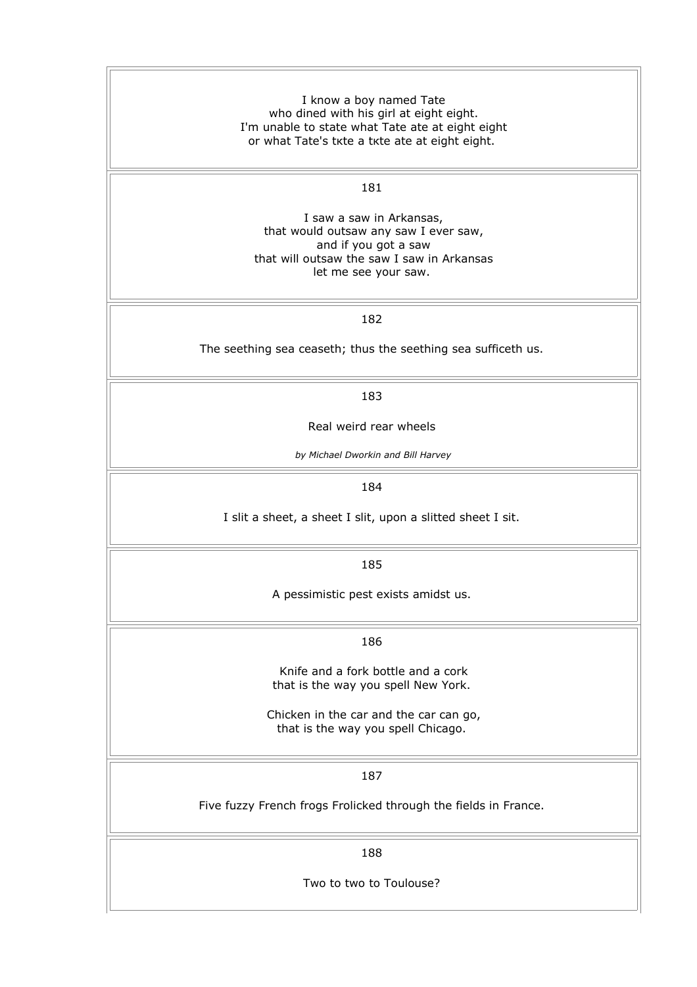I know a boy named Tate who dined with his girl at eight eight. I'm unable to state what Tate ate at eight eight or what Tate's tкte а tкte ate at eight eight.

181

I saw a saw in Arkansas, that would outsaw any saw I ever saw, and if you got a saw that will outsaw the saw I saw in Arkansas let me see your saw.

182

The seething sea ceaseth; thus the seething sea sufficeth us.

183

Real weird rear wheels

*by Michael Dworkin and Bill Harvey*

184

I slit a sheet, a sheet I slit, upon a slitted sheet I sit.

185

A pessimistic pest exists amidst us.

186

Knife and a fork bottle and a cork that is the way you spell New York.

Chicken in the car and the car can go, that is the way you spell Chicago.

187

Five fuzzy French frogs Frolicked through the fields in France.

188

Two to two to Toulouse?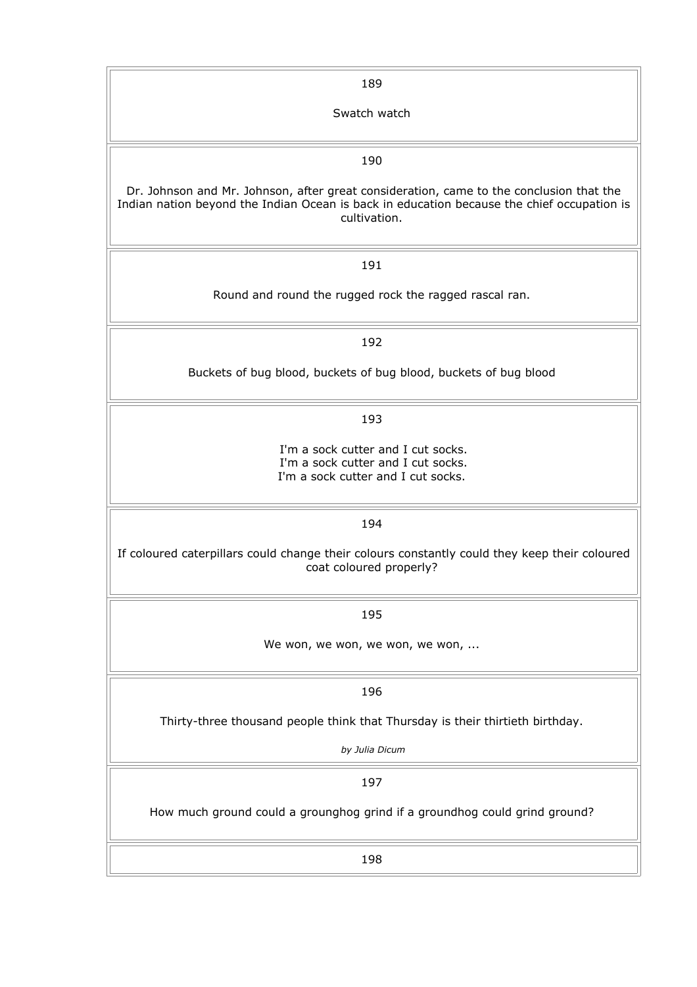| 189                                                                                                                                                                                                   |
|-------------------------------------------------------------------------------------------------------------------------------------------------------------------------------------------------------|
| Swatch watch                                                                                                                                                                                          |
|                                                                                                                                                                                                       |
| 190                                                                                                                                                                                                   |
| Dr. Johnson and Mr. Johnson, after great consideration, came to the conclusion that the<br>Indian nation beyond the Indian Ocean is back in education because the chief occupation is<br>cultivation. |
| 191                                                                                                                                                                                                   |
| Round and round the rugged rock the ragged rascal ran.                                                                                                                                                |
| 192                                                                                                                                                                                                   |
| Buckets of bug blood, buckets of bug blood, buckets of bug blood                                                                                                                                      |
| 193                                                                                                                                                                                                   |
| I'm a sock cutter and I cut socks.<br>I'm a sock cutter and I cut socks.<br>I'm a sock cutter and I cut socks.                                                                                        |
| 194                                                                                                                                                                                                   |
| If coloured caterpillars could change their colours constantly could they keep their coloured<br>coat coloured properly?                                                                              |
| 195                                                                                                                                                                                                   |
| We won, we won, we won, we won,                                                                                                                                                                       |
| 196                                                                                                                                                                                                   |
| Thirty-three thousand people think that Thursday is their thirtieth birthday.                                                                                                                         |
| by Julia Dicum                                                                                                                                                                                        |
| 197                                                                                                                                                                                                   |
| How much ground could a grounghog grind if a groundhog could grind ground?                                                                                                                            |
| 198                                                                                                                                                                                                   |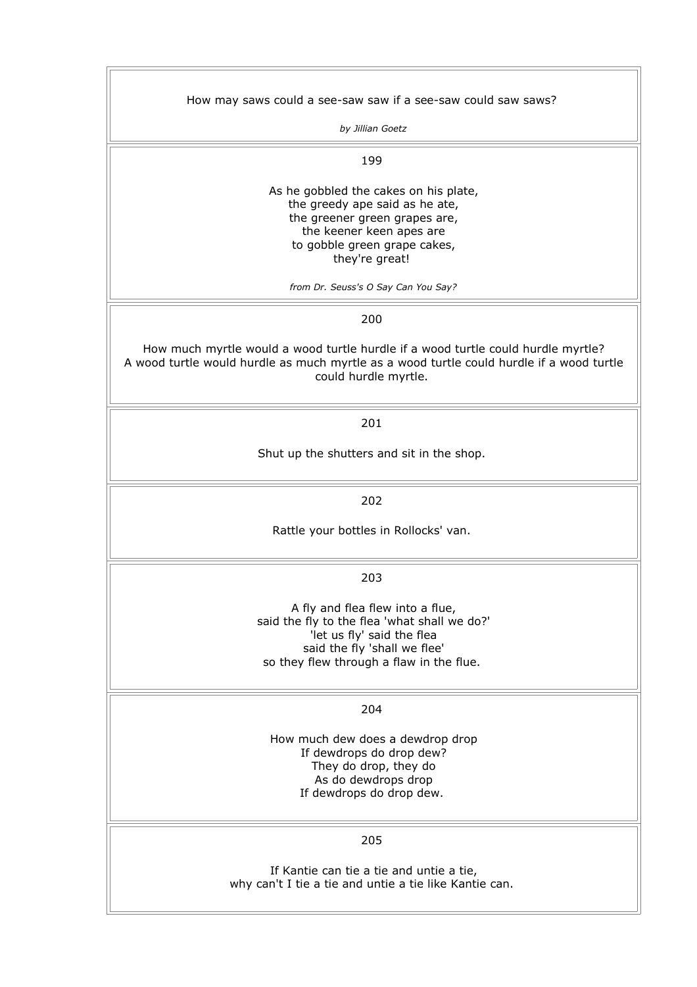| How may saws could a see-saw saw if a see-saw could saw saws?                            |
|------------------------------------------------------------------------------------------|
|                                                                                          |
| by Jillian Goetz                                                                         |
|                                                                                          |
|                                                                                          |
| 199                                                                                      |
|                                                                                          |
| As he gobbled the cakes on his plate,                                                    |
| the greedy ape said as he ate,                                                           |
|                                                                                          |
| the greener green grapes are,                                                            |
| the keener keen apes are                                                                 |
| to gobble green grape cakes,                                                             |
| they're great!                                                                           |
|                                                                                          |
| from Dr. Seuss's O Say Can You Say?                                                      |
|                                                                                          |
|                                                                                          |
| 200                                                                                      |
|                                                                                          |
| How much myrtle would a wood turtle hurdle if a wood turtle could hurdle myrtle?         |
|                                                                                          |
| A wood turtle would hurdle as much myrtle as a wood turtle could hurdle if a wood turtle |
| could hurdle myrtle.                                                                     |
|                                                                                          |
|                                                                                          |
| 201                                                                                      |
|                                                                                          |
|                                                                                          |
| Shut up the shutters and sit in the shop.                                                |
|                                                                                          |
|                                                                                          |
|                                                                                          |
| 202                                                                                      |
|                                                                                          |
| Rattle your bottles in Rollocks' van.                                                    |
|                                                                                          |
|                                                                                          |
|                                                                                          |
| 203                                                                                      |
|                                                                                          |
| A fly and flea flew into a flue,                                                         |
|                                                                                          |
| said the fly to the flea 'what shall we do?'                                             |
| 'let us fly' said the flea                                                               |
| said the fly 'shall we flee'                                                             |
| so they flew through a flaw in the flue.                                                 |
|                                                                                          |
|                                                                                          |
|                                                                                          |
| 204                                                                                      |
|                                                                                          |
| How much dew does a dewdrop drop                                                         |
| If dewdrops do drop dew?                                                                 |
| They do drop, they do                                                                    |
| As do dewdrops drop                                                                      |
|                                                                                          |
| If dewdrops do drop dew.                                                                 |
|                                                                                          |
|                                                                                          |
| 205                                                                                      |
|                                                                                          |
|                                                                                          |
| If Kantie can tie a tie and untie a tie,                                                 |
| why can't I tie a tie and untie a tie like Kantie can.                                   |
|                                                                                          |
|                                                                                          |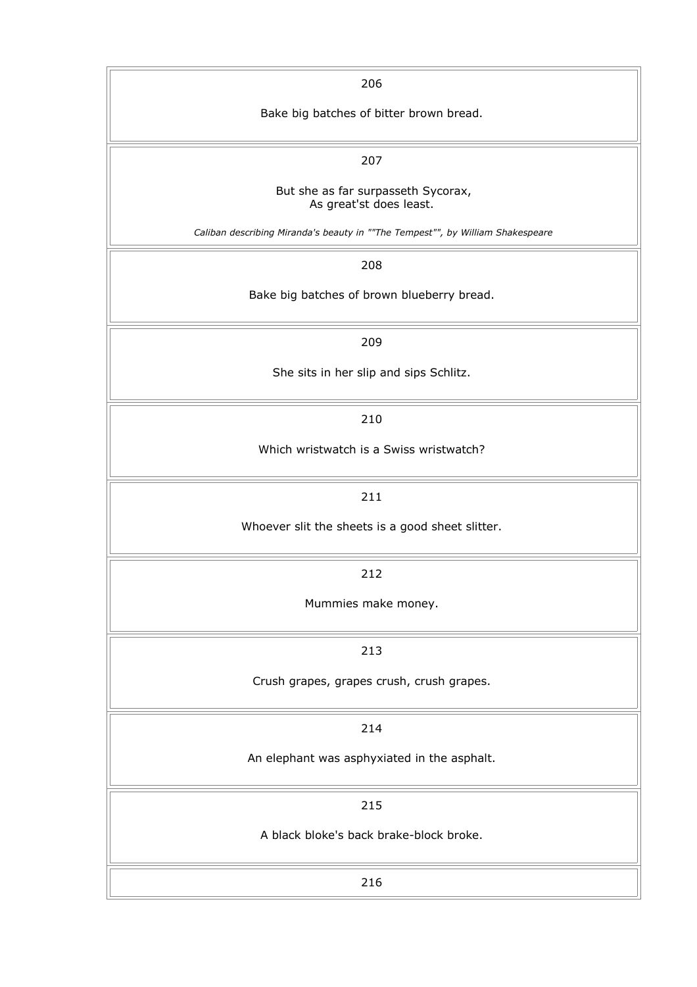| 206                                                                            |
|--------------------------------------------------------------------------------|
| Bake big batches of bitter brown bread.                                        |
|                                                                                |
| 207                                                                            |
| But she as far surpasseth Sycorax,                                             |
| As great'st does least.                                                        |
| Caliban describing Miranda's beauty in ""The Tempest"", by William Shakespeare |
| 208                                                                            |
| Bake big batches of brown blueberry bread.                                     |
|                                                                                |
| 209                                                                            |
| She sits in her slip and sips Schlitz.                                         |
|                                                                                |
| 210                                                                            |
| Which wristwatch is a Swiss wristwatch?                                        |
|                                                                                |
| 211                                                                            |
| Whoever slit the sheets is a good sheet slitter.                               |
|                                                                                |
| 212                                                                            |
| Mummies make money.                                                            |
|                                                                                |
| 213                                                                            |
| Crush grapes, grapes crush, crush grapes.                                      |
|                                                                                |
| 214                                                                            |
| An elephant was asphyxiated in the asphalt.                                    |
|                                                                                |
| 215                                                                            |
| A black bloke's back brake-block broke.                                        |
|                                                                                |
| 216                                                                            |
|                                                                                |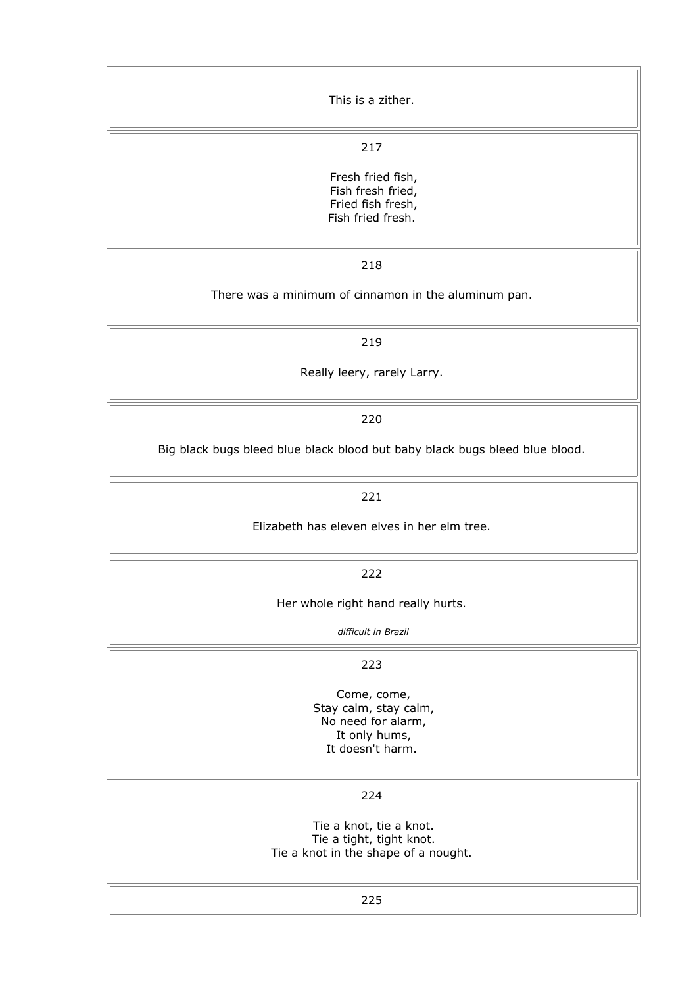| This is a zither.                                                                               |
|-------------------------------------------------------------------------------------------------|
| 217                                                                                             |
| Fresh fried fish,<br>Fish fresh fried,<br>Fried fish fresh,<br>Fish fried fresh.                |
| 218                                                                                             |
| There was a minimum of cinnamon in the aluminum pan.                                            |
| 219                                                                                             |
| Really leery, rarely Larry.                                                                     |
| 220                                                                                             |
| Big black bugs bleed blue black blood but baby black bugs bleed blue blood.                     |
| 221                                                                                             |
| Elizabeth has eleven elves in her elm tree.                                                     |
| 222                                                                                             |
| Her whole right hand really hurts.                                                              |
| difficult in Brazil                                                                             |
| 223                                                                                             |
| Come, come,<br>Stay calm, stay calm,<br>No need for alarm,<br>It only hums,<br>It doesn't harm. |
| 224                                                                                             |
| Tie a knot, tie a knot.<br>Tie a tight, tight knot.<br>Tie a knot in the shape of a nought.     |
| 225                                                                                             |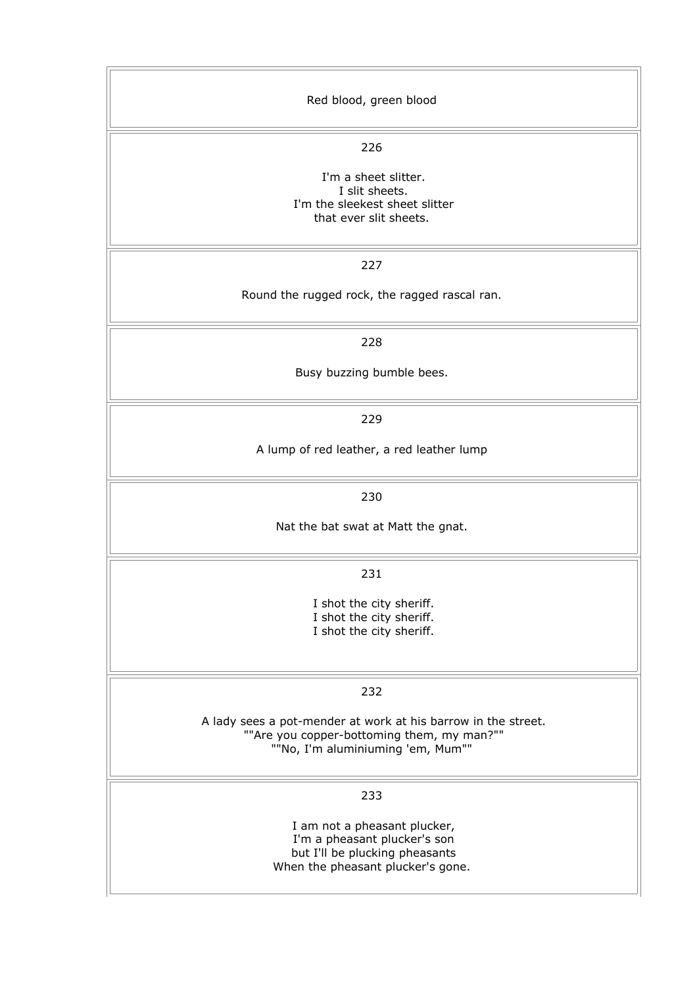| Red blood, green blood                                                                                                                                  |
|---------------------------------------------------------------------------------------------------------------------------------------------------------|
| 226<br>I'm a sheet slitter.<br>I slit sheets.<br>I'm the sleekest sheet slitter<br>that ever slit sheets.                                               |
| 227<br>Round the rugged rock, the ragged rascal ran.                                                                                                    |
| 228<br>Busy buzzing bumble bees.                                                                                                                        |
| 229<br>A lump of red leather, a red leather lump                                                                                                        |
| 230<br>Nat the bat swat at Matt the gnat.                                                                                                               |
| 231<br>I shot the city sheriff.<br>I shot the city sheriff.<br>I shot the city sheriff.                                                                 |
| 232<br>A lady sees a pot-mender at work at his barrow in the street.<br>""Are you copper-bottoming them, my man?""<br>""No, I'm aluminiuming 'em, Mum"" |
| 233<br>I am not a pheasant plucker,<br>I'm a pheasant plucker's son<br>but I'll be plucking pheasants<br>When the pheasant plucker's gone.              |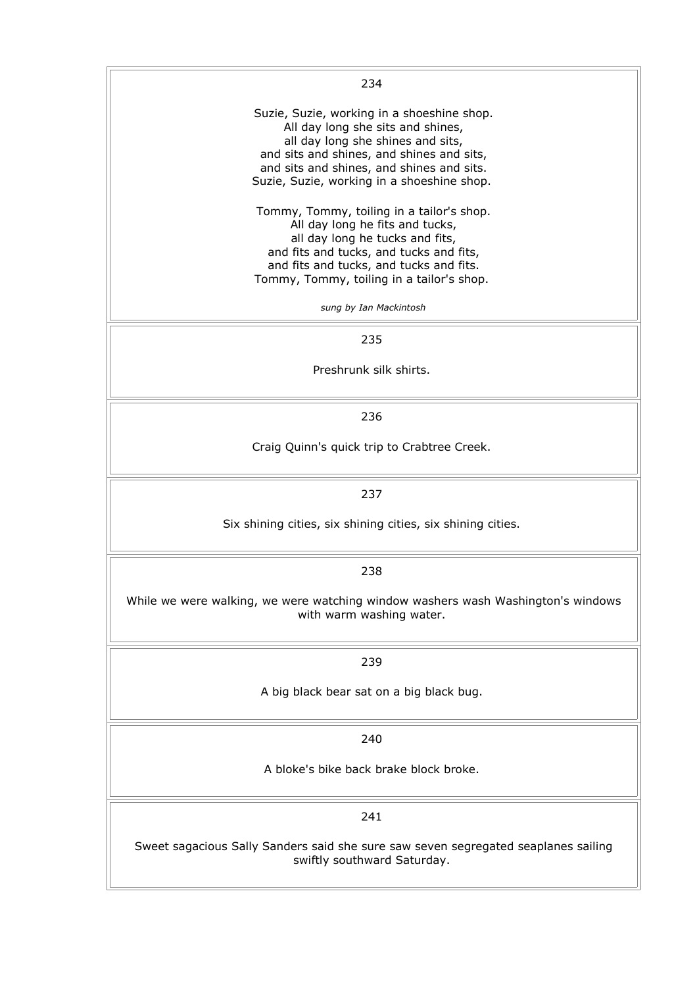| 234                                                                                                                                                                                                                                                          |
|--------------------------------------------------------------------------------------------------------------------------------------------------------------------------------------------------------------------------------------------------------------|
| Suzie, Suzie, working in a shoeshine shop.<br>All day long she sits and shines,<br>all day long she shines and sits,<br>and sits and shines, and shines and sits,<br>and sits and shines, and shines and sits.<br>Suzie, Suzie, working in a shoeshine shop. |
| Tommy, Tommy, toiling in a tailor's shop.<br>All day long he fits and tucks,<br>all day long he tucks and fits,<br>and fits and tucks, and tucks and fits,<br>and fits and tucks, and tucks and fits.<br>Tommy, Tommy, toiling in a tailor's shop.           |
| sung by Ian Mackintosh                                                                                                                                                                                                                                       |
| 235                                                                                                                                                                                                                                                          |
| Preshrunk silk shirts.                                                                                                                                                                                                                                       |
| 236                                                                                                                                                                                                                                                          |
| Craig Quinn's quick trip to Crabtree Creek.                                                                                                                                                                                                                  |
| 237                                                                                                                                                                                                                                                          |
| Six shining cities, six shining cities, six shining cities.                                                                                                                                                                                                  |
| 238                                                                                                                                                                                                                                                          |
| While we were walking, we were watching window washers wash Washington's windows<br>with warm washing water.                                                                                                                                                 |
| 239                                                                                                                                                                                                                                                          |
| A big black bear sat on a big black bug.                                                                                                                                                                                                                     |
| 240                                                                                                                                                                                                                                                          |
| A bloke's bike back brake block broke.                                                                                                                                                                                                                       |
| 241                                                                                                                                                                                                                                                          |
| Sweet sagacious Sally Sanders said she sure saw seven segregated seaplanes sailing<br>swiftly southward Saturday.                                                                                                                                            |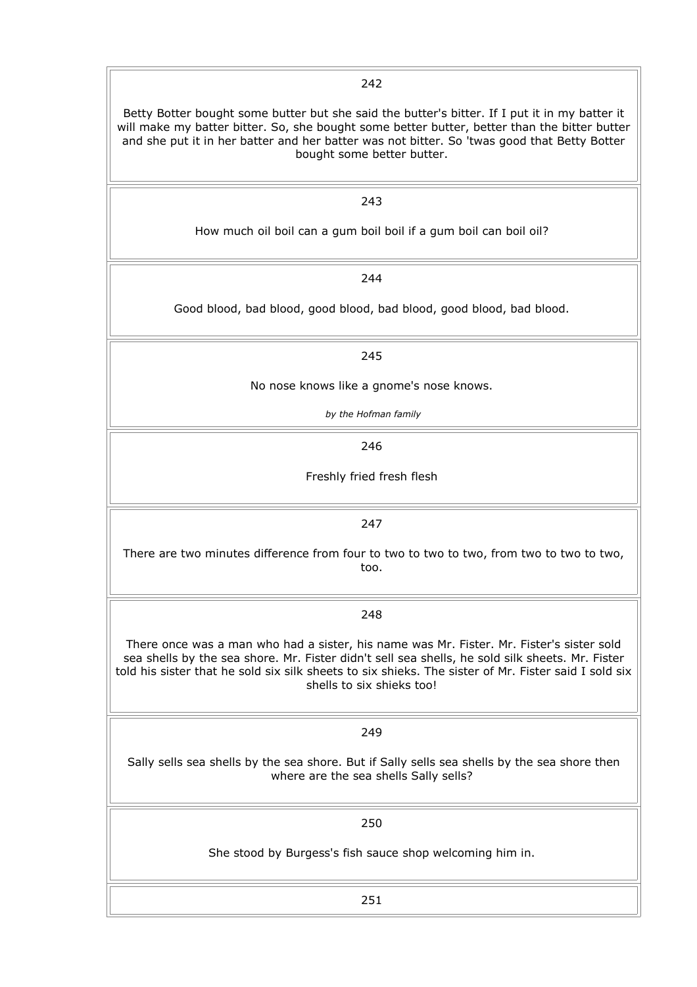Betty Botter bought some butter but she said the butter's bitter. If I put it in my batter it will make my batter bitter. So, she bought some better butter, better than the bitter butter and she put it in her batter and her batter was not bitter. So 'twas good that Betty Botter bought some better butter.

242

243

How much oil boil can a gum boil boil if a gum boil can boil oil?

244

Good blood, bad blood, good blood, bad blood, good blood, bad blood.

245

No nose knows like a gnome's nose knows.

*by the Hofman family*

246

Freshly fried fresh flesh

247

There are two minutes difference from four to two to two to two, from two to two to two, too.

248

There once was a man who had a sister, his name was Mr. Fister. Mr. Fister's sister sold sea shells by the sea shore. Mr. Fister didn't sell sea shells, he sold silk sheets. Mr. Fister told his sister that he sold six silk sheets to six shieks. The sister of Mr. Fister said I sold six shells to six shieks too!

249

Sally sells sea shells by the sea shore. But if Sally sells sea shells by the sea shore then where are the sea shells Sally sells?

250

She stood by Burgess's fish sauce shop welcoming him in.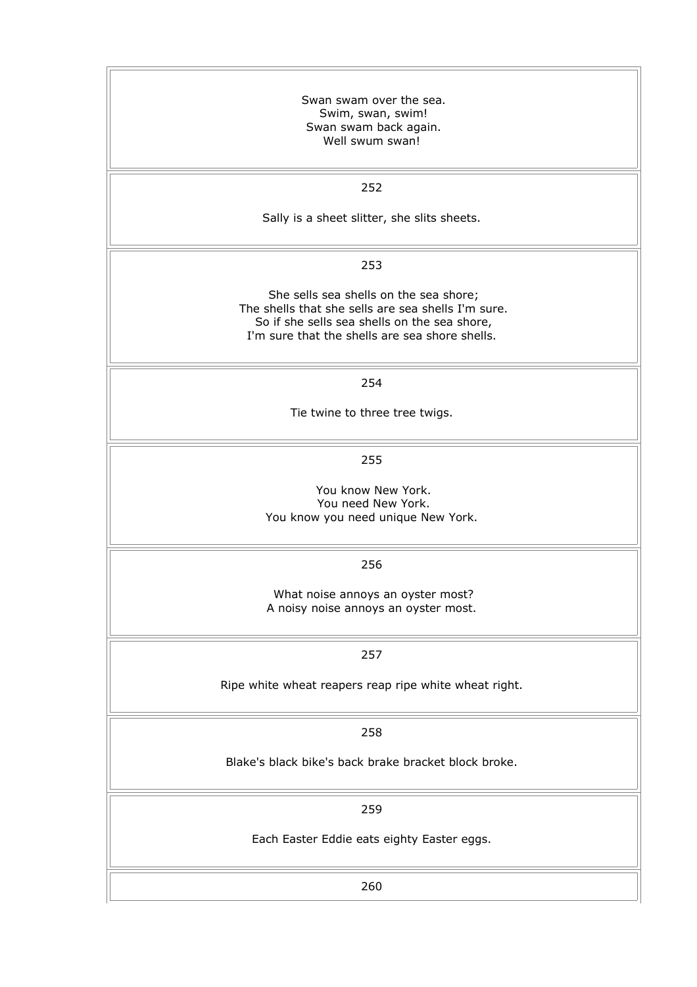| Swan swam over the sea.<br>Swim, swan, swim!<br>Swan swam back again.<br>Well swum swan!                                                                                                       |
|------------------------------------------------------------------------------------------------------------------------------------------------------------------------------------------------|
| 252                                                                                                                                                                                            |
| Sally is a sheet slitter, she slits sheets.                                                                                                                                                    |
| 253                                                                                                                                                                                            |
| She sells sea shells on the sea shore;<br>The shells that she sells are sea shells I'm sure.<br>So if she sells sea shells on the sea shore,<br>I'm sure that the shells are sea shore shells. |
| 254                                                                                                                                                                                            |
| Tie twine to three tree twigs.                                                                                                                                                                 |
| 255                                                                                                                                                                                            |
| You know New York.<br>You need New York.<br>You know you need unique New York.                                                                                                                 |
| 256                                                                                                                                                                                            |
| What noise annoys an oyster most?<br>A noisy noise annoys an oyster most.                                                                                                                      |
| 257                                                                                                                                                                                            |
| Ripe white wheat reapers reap ripe white wheat right.                                                                                                                                          |
| 258                                                                                                                                                                                            |
| Blake's black bike's back brake bracket block broke.                                                                                                                                           |
| 259                                                                                                                                                                                            |
| Each Easter Eddie eats eighty Easter eggs.                                                                                                                                                     |
| 260                                                                                                                                                                                            |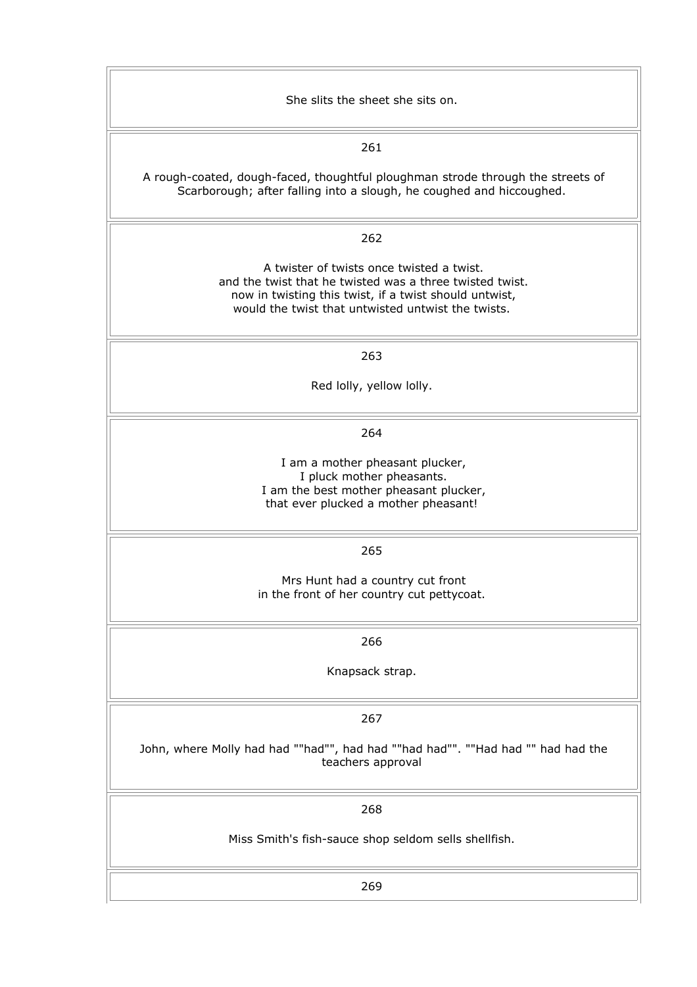| She slits the sheet she sits on.                                                                                                                                                                                      |
|-----------------------------------------------------------------------------------------------------------------------------------------------------------------------------------------------------------------------|
| 261                                                                                                                                                                                                                   |
| A rough-coated, dough-faced, thoughtful ploughman strode through the streets of<br>Scarborough; after falling into a slough, he coughed and hiccoughed.                                                               |
| 262                                                                                                                                                                                                                   |
| A twister of twists once twisted a twist.<br>and the twist that he twisted was a three twisted twist.<br>now in twisting this twist, if a twist should untwist,<br>would the twist that untwisted untwist the twists. |
| 263                                                                                                                                                                                                                   |
| Red lolly, yellow lolly.                                                                                                                                                                                              |
| 264                                                                                                                                                                                                                   |
| I am a mother pheasant plucker,<br>I pluck mother pheasants.<br>I am the best mother pheasant plucker,<br>that ever plucked a mother pheasant!                                                                        |
| 265                                                                                                                                                                                                                   |
| Mrs Hunt had a country cut front<br>in the front of her country cut pettycoat.                                                                                                                                        |
| 266                                                                                                                                                                                                                   |
| Knapsack strap.                                                                                                                                                                                                       |
| 267                                                                                                                                                                                                                   |
| John, where Molly had had ""had"", had had ""had had"". ""Had had "" had had the<br>teachers approval                                                                                                                 |
| 268                                                                                                                                                                                                                   |
| Miss Smith's fish-sauce shop seldom sells shellfish.                                                                                                                                                                  |
| 269                                                                                                                                                                                                                   |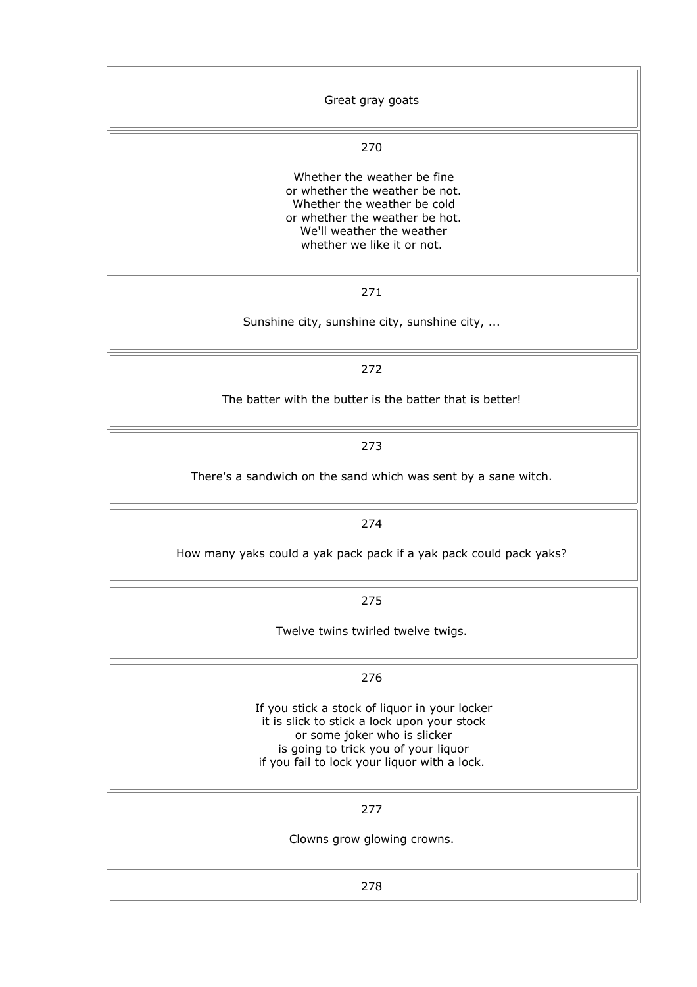| Great gray goats                                                                                                                                                                                                     |
|----------------------------------------------------------------------------------------------------------------------------------------------------------------------------------------------------------------------|
| 270                                                                                                                                                                                                                  |
| Whether the weather be fine<br>or whether the weather be not.<br>Whether the weather be cold<br>or whether the weather be hot.<br>We'll weather the weather<br>whether we like it or not.                            |
| 271                                                                                                                                                                                                                  |
| Sunshine city, sunshine city, sunshine city,                                                                                                                                                                         |
| 272                                                                                                                                                                                                                  |
| The batter with the butter is the batter that is better!                                                                                                                                                             |
| 273                                                                                                                                                                                                                  |
| There's a sandwich on the sand which was sent by a sane witch.                                                                                                                                                       |
| 274                                                                                                                                                                                                                  |
| How many yaks could a yak pack pack if a yak pack could pack yaks?                                                                                                                                                   |
| 275                                                                                                                                                                                                                  |
| Twelve twins twirled twelve twigs.                                                                                                                                                                                   |
| 276                                                                                                                                                                                                                  |
| If you stick a stock of liquor in your locker<br>it is slick to stick a lock upon your stock<br>or some joker who is slicker<br>is going to trick you of your liquor<br>if you fail to lock your liquor with a lock. |
| 277                                                                                                                                                                                                                  |
| Clowns grow glowing crowns.                                                                                                                                                                                          |
| 278                                                                                                                                                                                                                  |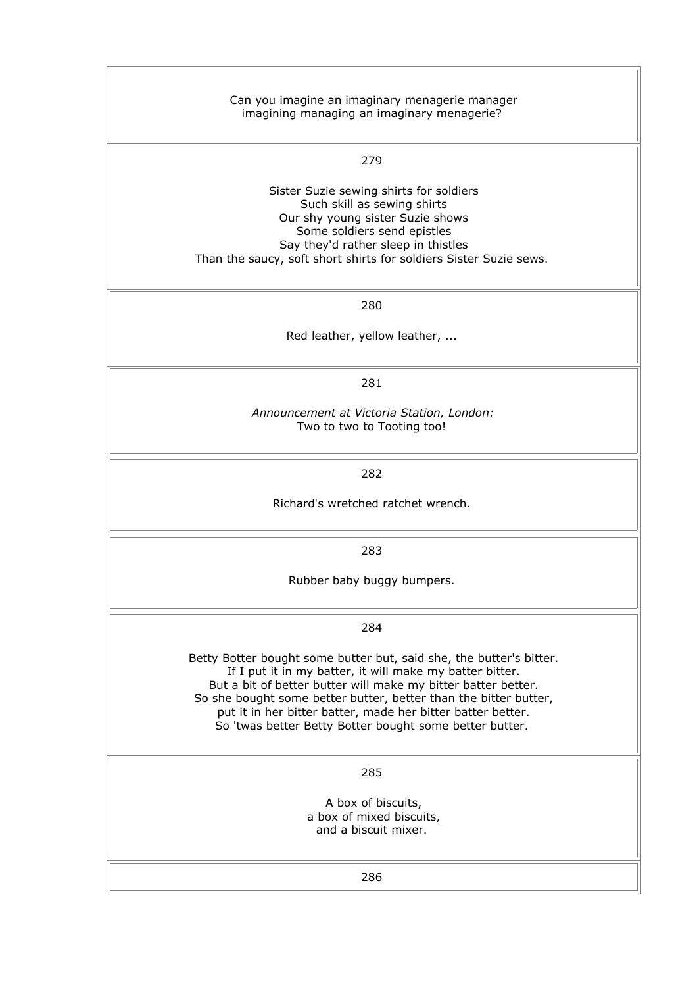| Can you imagine an imaginary menagerie manager<br>imagining managing an imaginary menagerie?                                                                                                                                                                                                                                                                                                   |
|------------------------------------------------------------------------------------------------------------------------------------------------------------------------------------------------------------------------------------------------------------------------------------------------------------------------------------------------------------------------------------------------|
| 279                                                                                                                                                                                                                                                                                                                                                                                            |
| Sister Suzie sewing shirts for soldiers<br>Such skill as sewing shirts<br>Our shy young sister Suzie shows<br>Some soldiers send epistles<br>Say they'd rather sleep in thistles<br>Than the saucy, soft short shirts for soldiers Sister Suzie sews.                                                                                                                                          |
| 280                                                                                                                                                                                                                                                                                                                                                                                            |
| Red leather, yellow leather,                                                                                                                                                                                                                                                                                                                                                                   |
| 281                                                                                                                                                                                                                                                                                                                                                                                            |
| Announcement at Victoria Station, London:<br>Two to two to Tooting too!                                                                                                                                                                                                                                                                                                                        |
| 282                                                                                                                                                                                                                                                                                                                                                                                            |
| Richard's wretched ratchet wrench.                                                                                                                                                                                                                                                                                                                                                             |
| 283                                                                                                                                                                                                                                                                                                                                                                                            |
| Rubber baby buggy bumpers.                                                                                                                                                                                                                                                                                                                                                                     |
| 284                                                                                                                                                                                                                                                                                                                                                                                            |
| Betty Botter bought some butter but, said she, the butter's bitter.<br>If I put it in my batter, it will make my batter bitter.<br>But a bit of better butter will make my bitter batter better.<br>So she bought some better butter, better than the bitter butter,<br>put it in her bitter batter, made her bitter batter better.<br>So 'twas better Betty Botter bought some better butter. |
| 285                                                                                                                                                                                                                                                                                                                                                                                            |
| A box of biscuits,<br>a box of mixed biscuits,<br>and a biscuit mixer.                                                                                                                                                                                                                                                                                                                         |
| 286                                                                                                                                                                                                                                                                                                                                                                                            |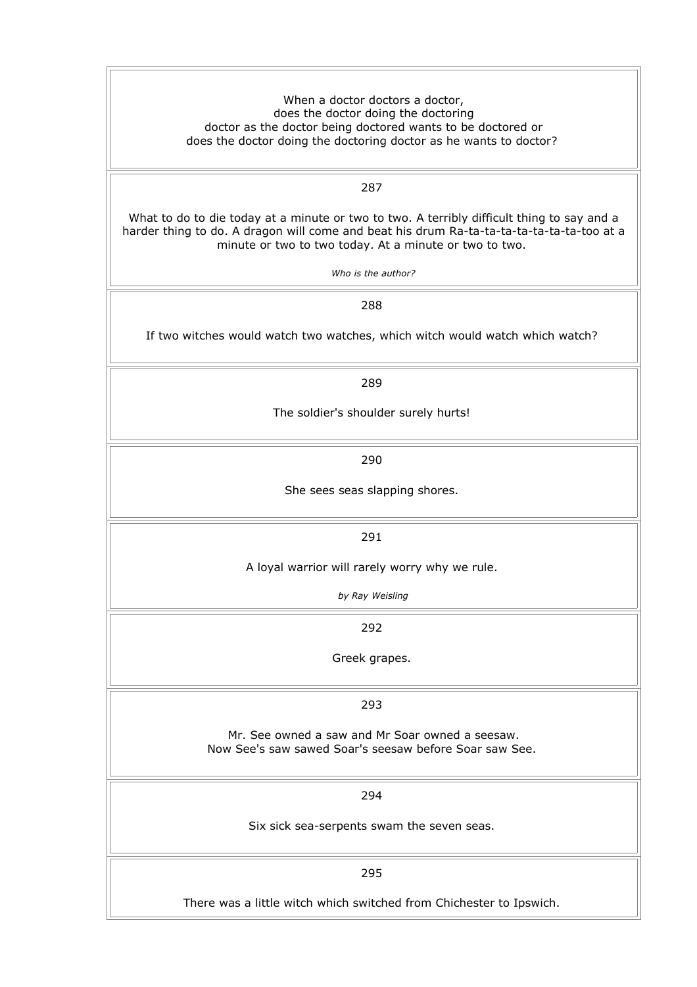When a doctor doctors a doctor, does the doctor doing the doctoring doctor as the doctor being doctored wants to be doctored or does the doctor doing the doctoring doctor as he wants to doctor?

287

What to do to die today at a minute or two to two. A terribly difficult thing to say and a harder thing to do. A dragon will come and beat his drum Ra-ta-ta-ta-ta-ta-ta-ta-too at a minute or two to two today. At a minute or two to two.

*Who is the author?*

288

If two witches would watch two watches, which witch would watch which watch?

289

The soldier's shoulder surely hurts!

290

She sees seas slapping shores.

291

A loyal warrior will rarely worry why we rule.

*by Ray Weisling*

292

Greek grapes.

293

Mr. See owned a saw and Mr Soar owned a seesaw. Now See's saw sawed Soar's seesaw before Soar saw See.

294

Six sick sea-serpents swam the seven seas.

295

There was a little witch which switched from Chichester to Ipswich.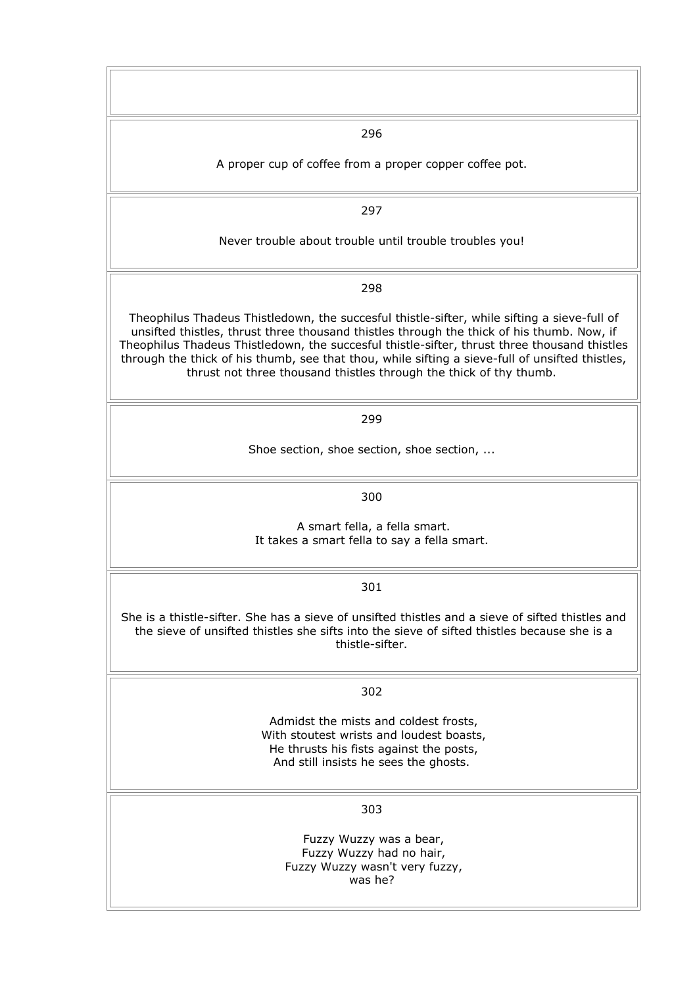296

A proper cup of coffee from a proper copper coffee pot.

297

Never trouble about trouble until trouble troubles you!

298

Theophilus Thadeus Thistledown, the succesful thistle-sifter, while sifting a sieve-full of unsifted thistles, thrust three thousand thistles through the thick of his thumb. Now, if Theophilus Thadeus Thistledown, the succesful thistle-sifter, thrust three thousand thistles through the thick of his thumb, see that thou, while sifting a sieve-full of unsifted thistles, thrust not three thousand thistles through the thick of thy thumb.

299

Shoe section, shoe section, shoe section, ...

300

A smart fella, a fella smart. It takes a smart fella to say a fella smart.

301

She is a thistle-sifter. She has a sieve of unsifted thistles and a sieve of sifted thistles and the sieve of unsifted thistles she sifts into the sieve of sifted thistles because she is a thistle-sifter.

302

Admidst the mists and coldest frosts, With stoutest wrists and loudest boasts, He thrusts his fists against the posts, And still insists he sees the ghosts.

303

Fuzzy Wuzzy was a bear, Fuzzy Wuzzy had no hair, Fuzzy Wuzzy wasn't very fuzzy, was he?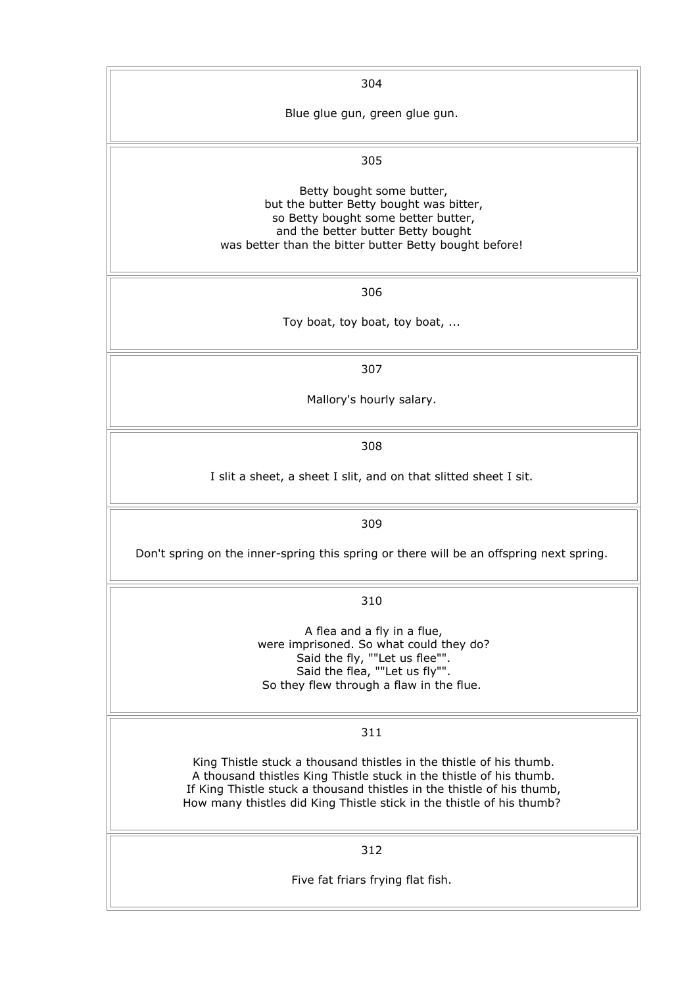304

Blue glue gun, green glue gun.

### 305

Betty bought some butter, but the butter Betty bought was bitter, so Betty bought some better butter, and the better butter Betty bought was better than the bitter butter Betty bought before!

306

Toy boat, toy boat, toy boat, ...

307

Mallory's hourly salary.

308

I slit a sheet, a sheet I slit, and on that slitted sheet I sit.

309

Don't spring on the inner-spring this spring or there will be an offspring next spring.

310

A flea and a fly in a flue, were imprisoned. So what could they do? Said the fly, ""Let us flee"". Said the flea, ""Let us fly"". So they flew through a flaw in the flue.

#### 311

King Thistle stuck a thousand thistles in the thistle of his thumb. A thousand thistles King Thistle stuck in the thistle of his thumb. If King Thistle stuck a thousand thistles in the thistle of his thumb, How many thistles did King Thistle stick in the thistle of his thumb?

312

Five fat friars frying flat fish.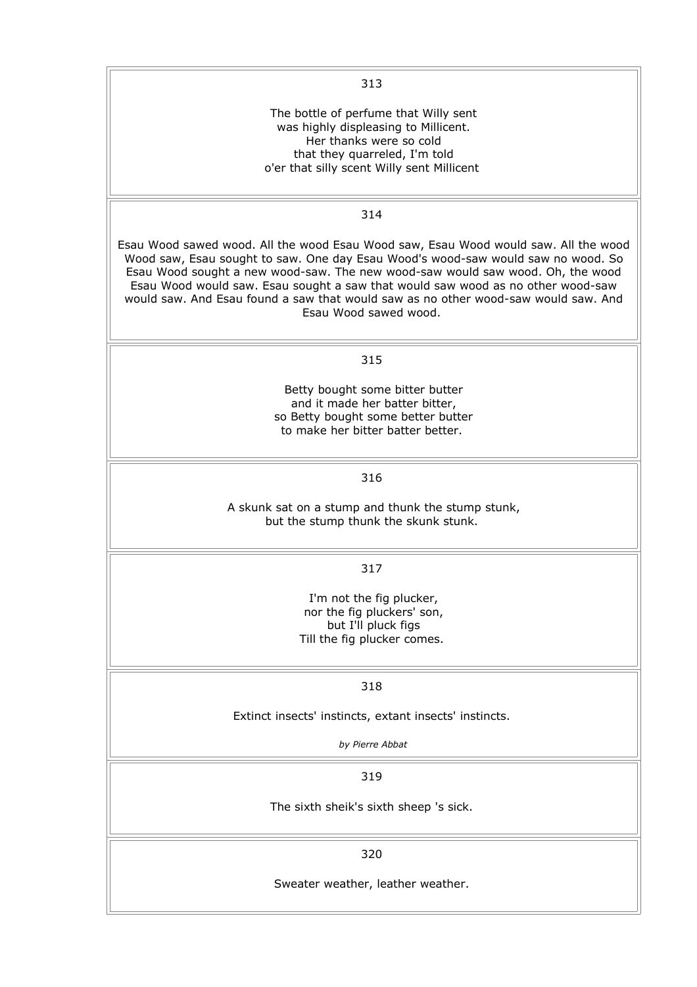| 313                                                                                                                                                                                                                                                                                                                                                                                                                                                         |
|-------------------------------------------------------------------------------------------------------------------------------------------------------------------------------------------------------------------------------------------------------------------------------------------------------------------------------------------------------------------------------------------------------------------------------------------------------------|
| The bottle of perfume that Willy sent<br>was highly displeasing to Millicent.<br>Her thanks were so cold<br>that they quarreled, I'm told<br>o'er that silly scent Willy sent Millicent                                                                                                                                                                                                                                                                     |
| 314                                                                                                                                                                                                                                                                                                                                                                                                                                                         |
| Esau Wood sawed wood. All the wood Esau Wood saw, Esau Wood would saw. All the wood<br>Wood saw, Esau sought to saw. One day Esau Wood's wood-saw would saw no wood. So<br>Esau Wood sought a new wood-saw. The new wood-saw would saw wood. Oh, the wood<br>Esau Wood would saw. Esau sought a saw that would saw wood as no other wood-saw<br>would saw. And Esau found a saw that would saw as no other wood-saw would saw. And<br>Esau Wood sawed wood. |
| 315                                                                                                                                                                                                                                                                                                                                                                                                                                                         |
| Betty bought some bitter butter<br>and it made her batter bitter,<br>so Betty bought some better butter<br>to make her bitter batter better.                                                                                                                                                                                                                                                                                                                |
| 316                                                                                                                                                                                                                                                                                                                                                                                                                                                         |
| A skunk sat on a stump and thunk the stump stunk,<br>but the stump thunk the skunk stunk.                                                                                                                                                                                                                                                                                                                                                                   |
| 317                                                                                                                                                                                                                                                                                                                                                                                                                                                         |
| I'm not the fig plucker,<br>nor the fig pluckers' son,<br>but I'll pluck figs<br>Till the fig plucker comes.                                                                                                                                                                                                                                                                                                                                                |
| 318                                                                                                                                                                                                                                                                                                                                                                                                                                                         |
| Extinct insects' instincts, extant insects' instincts.                                                                                                                                                                                                                                                                                                                                                                                                      |
| by Pierre Abbat                                                                                                                                                                                                                                                                                                                                                                                                                                             |
| 319                                                                                                                                                                                                                                                                                                                                                                                                                                                         |
| The sixth sheik's sixth sheep 's sick.                                                                                                                                                                                                                                                                                                                                                                                                                      |
| 320                                                                                                                                                                                                                                                                                                                                                                                                                                                         |
| Sweater weather, leather weather.                                                                                                                                                                                                                                                                                                                                                                                                                           |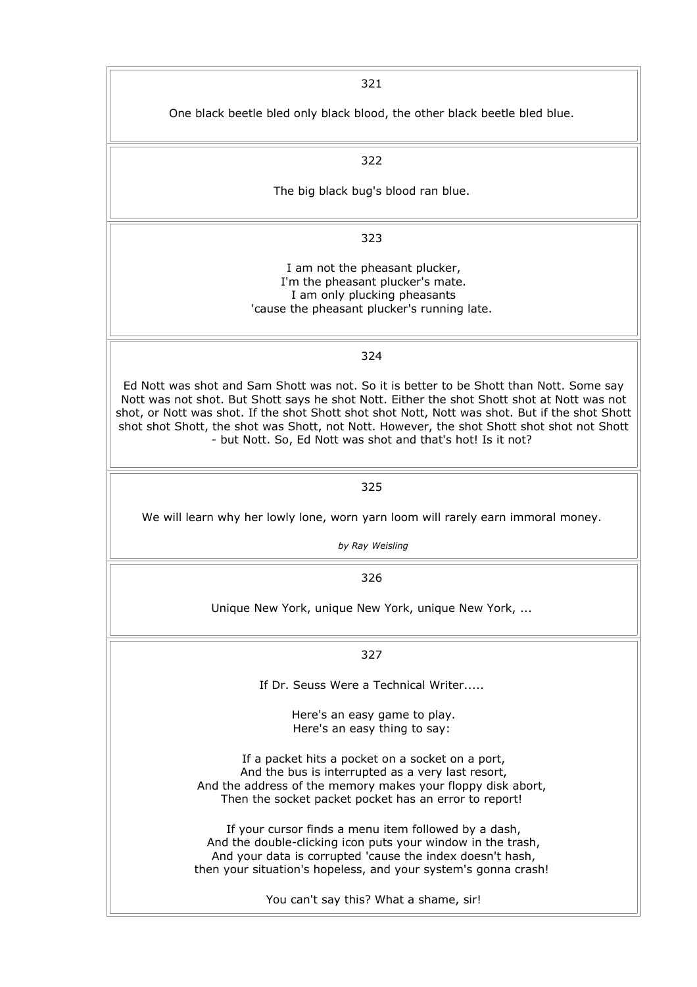321 One black beetle bled only black blood, the other black beetle bled blue. 322 The big black bug's blood ran blue. 323 I am not the pheasant plucker, I'm the pheasant plucker's mate. I am only plucking pheasants 'cause the pheasant plucker's running late. 324 Ed Nott was shot and Sam Shott was not. So it is better to be Shott than Nott. Some say Nott was not shot. But Shott says he shot Nott. Either the shot Shott shot at Nott was not shot, or Nott was shot. If the shot Shott shot shot Nott, Nott was shot. But if the shot Shott shot shot Shott, the shot was Shott, not Nott. However, the shot Shott shot shot not Shott - but Nott. So, Ed Nott was shot and that's hot! Is it not? 325 We will learn why her lowly lone, worn yarn loom will rarely earn immoral money. *by Ray Weisling* 326 Unique New York, unique New York, unique New York, ... 327 If Dr. Seuss Were a Technical Writer..... Here's an easy game to play. Here's an easy thing to say: If a packet hits a pocket on a socket on a port, And the bus is interrupted as a very last resort, And the address of the memory makes your floppy disk abort, Then the socket packet pocket has an error to report! If your cursor finds a menu item followed by a dash, And the double-clicking icon puts your window in the trash, And your data is corrupted 'cause the index doesn't hash, then your situation's hopeless, and your system's gonna crash! You can't say this? What a shame, sir!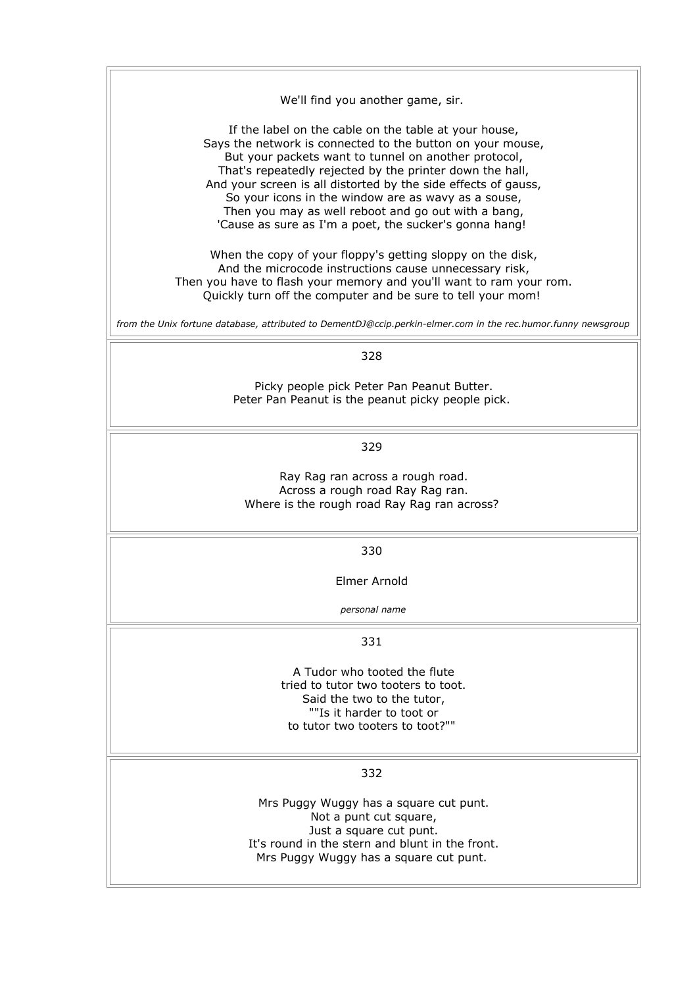| We'll find you another game, sir.                                                                                                                                                                                                                                                                                                                                                                                                                                                 |
|-----------------------------------------------------------------------------------------------------------------------------------------------------------------------------------------------------------------------------------------------------------------------------------------------------------------------------------------------------------------------------------------------------------------------------------------------------------------------------------|
| If the label on the cable on the table at your house,<br>Says the network is connected to the button on your mouse,<br>But your packets want to tunnel on another protocol,<br>That's repeatedly rejected by the printer down the hall,<br>And your screen is all distorted by the side effects of gauss,<br>So your icons in the window are as wavy as a souse,<br>Then you may as well reboot and go out with a bang,<br>'Cause as sure as I'm a poet, the sucker's gonna hang! |
| When the copy of your floppy's getting sloppy on the disk,<br>And the microcode instructions cause unnecessary risk,<br>Then you have to flash your memory and you'll want to ram your rom.<br>Quickly turn off the computer and be sure to tell your mom!                                                                                                                                                                                                                        |
| from the Unix fortune database, attributed to DementDJ@ccip.perkin-elmer.com in the rec.humor.funny newsgroup                                                                                                                                                                                                                                                                                                                                                                     |
| 328                                                                                                                                                                                                                                                                                                                                                                                                                                                                               |
| Picky people pick Peter Pan Peanut Butter.<br>Peter Pan Peanut is the peanut picky people pick.                                                                                                                                                                                                                                                                                                                                                                                   |
| 329                                                                                                                                                                                                                                                                                                                                                                                                                                                                               |
| Ray Rag ran across a rough road.<br>Across a rough road Ray Rag ran.<br>Where is the rough road Ray Rag ran across?                                                                                                                                                                                                                                                                                                                                                               |
| 330                                                                                                                                                                                                                                                                                                                                                                                                                                                                               |
| Elmer Arnold                                                                                                                                                                                                                                                                                                                                                                                                                                                                      |
| personal name                                                                                                                                                                                                                                                                                                                                                                                                                                                                     |
| 331                                                                                                                                                                                                                                                                                                                                                                                                                                                                               |
| A Tudor who tooted the flute<br>tried to tutor two tooters to toot.<br>Said the two to the tutor,<br>""Is it harder to toot or<br>to tutor two tooters to toot?""                                                                                                                                                                                                                                                                                                                 |
| 332                                                                                                                                                                                                                                                                                                                                                                                                                                                                               |
| Mrs Puggy Wuggy has a square cut punt.<br>Not a punt cut square,<br>Just a square cut punt.<br>It's round in the stern and blunt in the front.<br>Mrs Puggy Wuggy has a square cut punt.                                                                                                                                                                                                                                                                                          |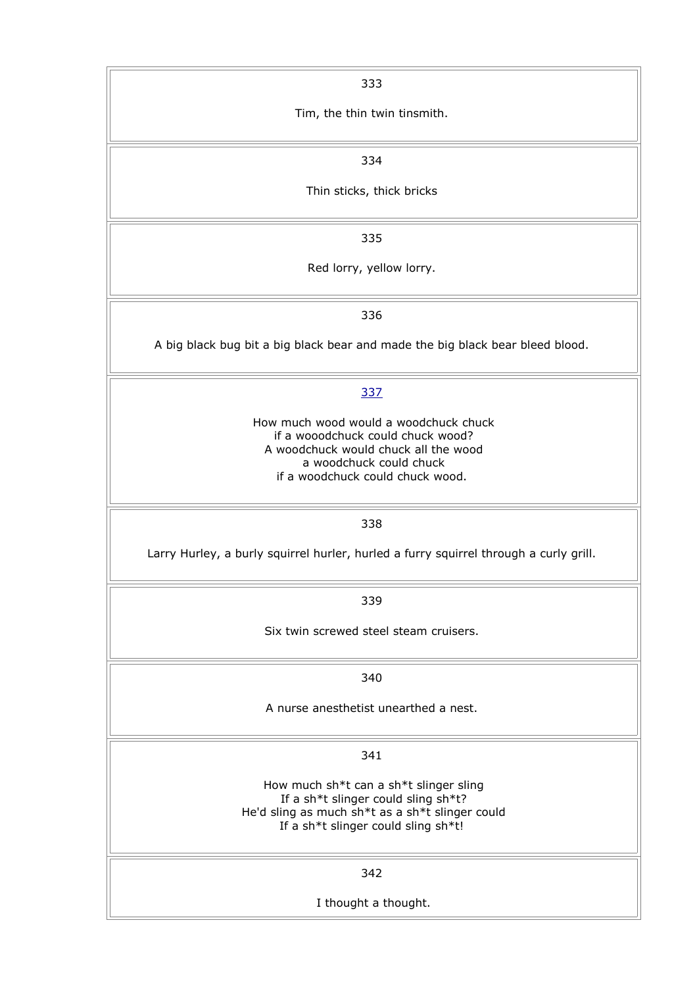| 333                                                                                                                                                                               |
|-----------------------------------------------------------------------------------------------------------------------------------------------------------------------------------|
| Tim, the thin twin tinsmith.                                                                                                                                                      |
| 334                                                                                                                                                                               |
| Thin sticks, thick bricks                                                                                                                                                         |
| 335                                                                                                                                                                               |
| Red lorry, yellow lorry.                                                                                                                                                          |
| 336                                                                                                                                                                               |
| A big black bug bit a big black bear and made the big black bear bleed blood.                                                                                                     |
| 337                                                                                                                                                                               |
| How much wood would a woodchuck chuck<br>if a wooodchuck could chuck wood?<br>A woodchuck would chuck all the wood<br>a woodchuck could chuck<br>if a woodchuck could chuck wood. |
| 338                                                                                                                                                                               |
| Larry Hurley, a burly squirrel hurler, hurled a furry squirrel through a curly grill.                                                                                             |
| 339                                                                                                                                                                               |
| Six twin screwed steel steam cruisers.                                                                                                                                            |
| 340                                                                                                                                                                               |
| A nurse anesthetist unearthed a nest.                                                                                                                                             |
| 341                                                                                                                                                                               |
| How much sh*t can a sh*t slinger sling<br>If a sh*t slinger could sling sh*t?<br>He'd sling as much sh*t as a sh*t slinger could<br>If a sh*t slinger could sling sh*t!           |
| 342                                                                                                                                                                               |
| I thought a thought.                                                                                                                                                              |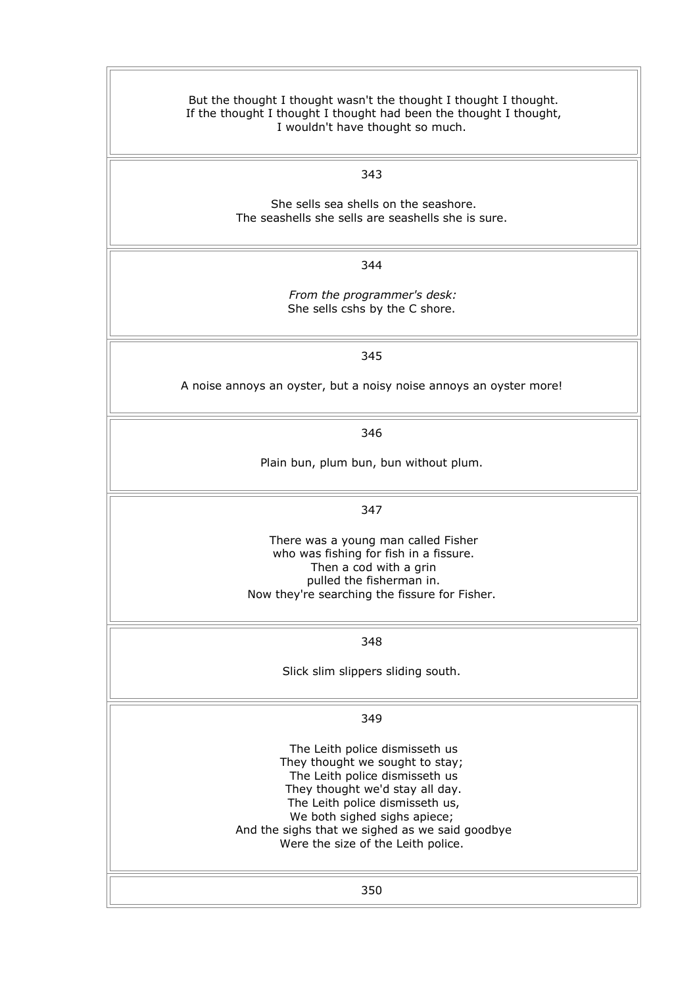| But the thought I thought wasn't the thought I thought I thought.<br>If the thought I thought I thought had been the thought I thought,<br>I wouldn't have thought so much.                                                                                                                        |
|----------------------------------------------------------------------------------------------------------------------------------------------------------------------------------------------------------------------------------------------------------------------------------------------------|
| 343                                                                                                                                                                                                                                                                                                |
| She sells sea shells on the seashore.<br>The seashells she sells are seashells she is sure.                                                                                                                                                                                                        |
| 344                                                                                                                                                                                                                                                                                                |
| From the programmer's desk:<br>She sells cshs by the C shore.                                                                                                                                                                                                                                      |
| 345                                                                                                                                                                                                                                                                                                |
| A noise annoys an oyster, but a noisy noise annoys an oyster more!                                                                                                                                                                                                                                 |
| 346                                                                                                                                                                                                                                                                                                |
| Plain bun, plum bun, bun without plum.                                                                                                                                                                                                                                                             |
| 347                                                                                                                                                                                                                                                                                                |
| There was a young man called Fisher<br>who was fishing for fish in a fissure.<br>Then a cod with a grin<br>pulled the fisherman in.<br>Now they're searching the fissure for Fisher.                                                                                                               |
| 348                                                                                                                                                                                                                                                                                                |
| Slick slim slippers sliding south.                                                                                                                                                                                                                                                                 |
| 349                                                                                                                                                                                                                                                                                                |
| The Leith police dismisseth us<br>They thought we sought to stay;<br>The Leith police dismisseth us<br>They thought we'd stay all day.<br>The Leith police dismisseth us,<br>We both sighed sighs apiece;<br>And the sighs that we sighed as we said goodbye<br>Were the size of the Leith police. |
| 350                                                                                                                                                                                                                                                                                                |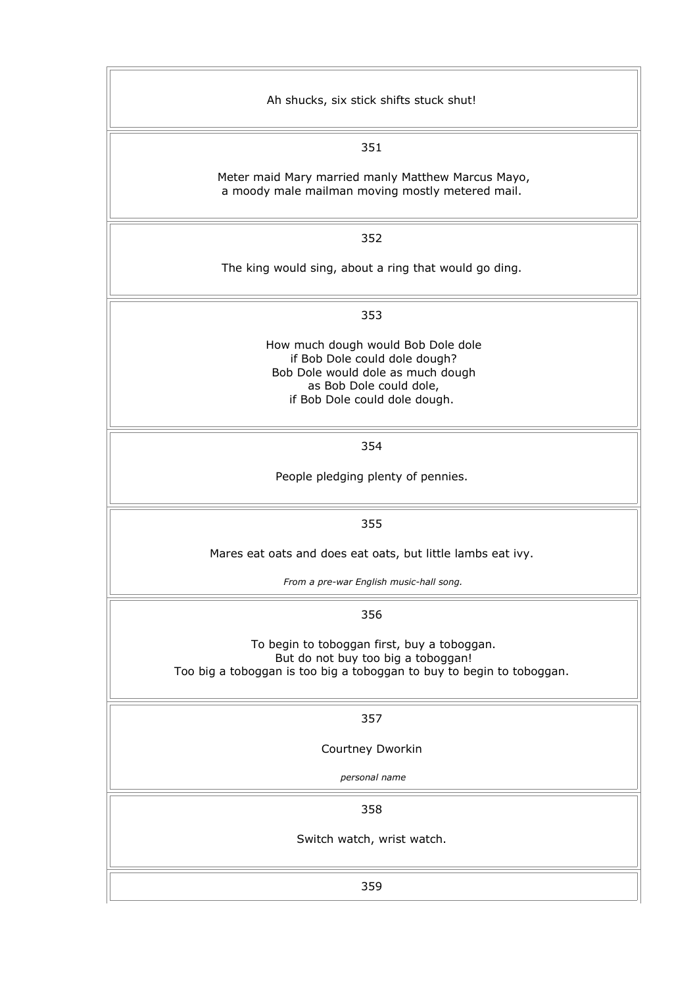| Ah shucks, six stick shifts stuck shut!                                                                                                                              |
|----------------------------------------------------------------------------------------------------------------------------------------------------------------------|
| 351                                                                                                                                                                  |
| Meter maid Mary married manly Matthew Marcus Mayo,<br>a moody male mailman moving mostly metered mail.                                                               |
| 352                                                                                                                                                                  |
| The king would sing, about a ring that would go ding.                                                                                                                |
| 353                                                                                                                                                                  |
| How much dough would Bob Dole dole<br>if Bob Dole could dole dough?<br>Bob Dole would dole as much dough<br>as Bob Dole could dole,<br>if Bob Dole could dole dough. |
| 354                                                                                                                                                                  |
| People pledging plenty of pennies.                                                                                                                                   |
| 355                                                                                                                                                                  |
| Mares eat oats and does eat oats, but little lambs eat ivy.                                                                                                          |
| From a pre-war English music-hall song.                                                                                                                              |
| 356                                                                                                                                                                  |
| To begin to toboggan first, buy a toboggan.<br>But do not buy too big a toboggan!<br>Too big a toboggan is too big a toboggan to buy to begin to toboggan.           |
| 357                                                                                                                                                                  |
| Courtney Dworkin                                                                                                                                                     |
| personal name                                                                                                                                                        |
| 358                                                                                                                                                                  |
| Switch watch, wrist watch.                                                                                                                                           |
| 359                                                                                                                                                                  |
|                                                                                                                                                                      |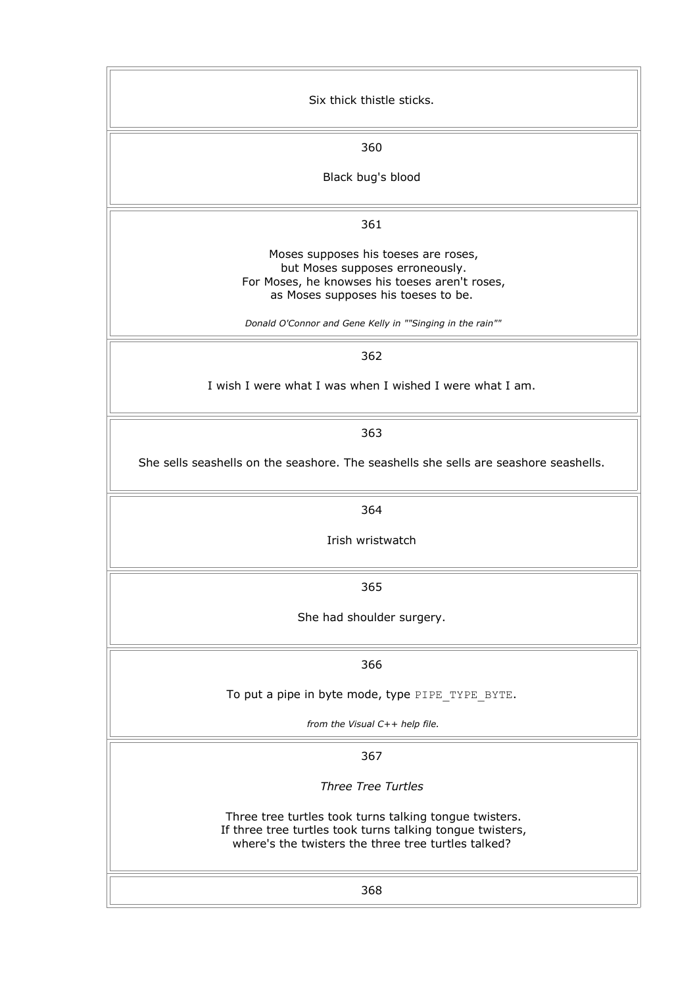| Six thick thistle sticks.                                                                                                                                                  |
|----------------------------------------------------------------------------------------------------------------------------------------------------------------------------|
| 360                                                                                                                                                                        |
| Black bug's blood                                                                                                                                                          |
| 361                                                                                                                                                                        |
| Moses supposes his toeses are roses,<br>but Moses supposes erroneously.<br>For Moses, he knowses his toeses aren't roses,<br>as Moses supposes his toeses to be.           |
| Donald O'Connor and Gene Kelly in ""Singing in the rain""                                                                                                                  |
| 362                                                                                                                                                                        |
| I wish I were what I was when I wished I were what I am.                                                                                                                   |
| 363                                                                                                                                                                        |
| She sells seashells on the seashore. The seashells she sells are seashore seashells.                                                                                       |
| 364                                                                                                                                                                        |
| Irish wristwatch                                                                                                                                                           |
| 365                                                                                                                                                                        |
| She had shoulder surgery.                                                                                                                                                  |
| 366                                                                                                                                                                        |
| To put a pipe in byte mode, type PIPE TYPE BYTE.                                                                                                                           |
| from the Visual C++ help file.                                                                                                                                             |
| 367                                                                                                                                                                        |
| <b>Three Tree Turtles</b>                                                                                                                                                  |
| Three tree turtles took turns talking tongue twisters.<br>If three tree turtles took turns talking tongue twisters,<br>where's the twisters the three tree turtles talked? |
| 368                                                                                                                                                                        |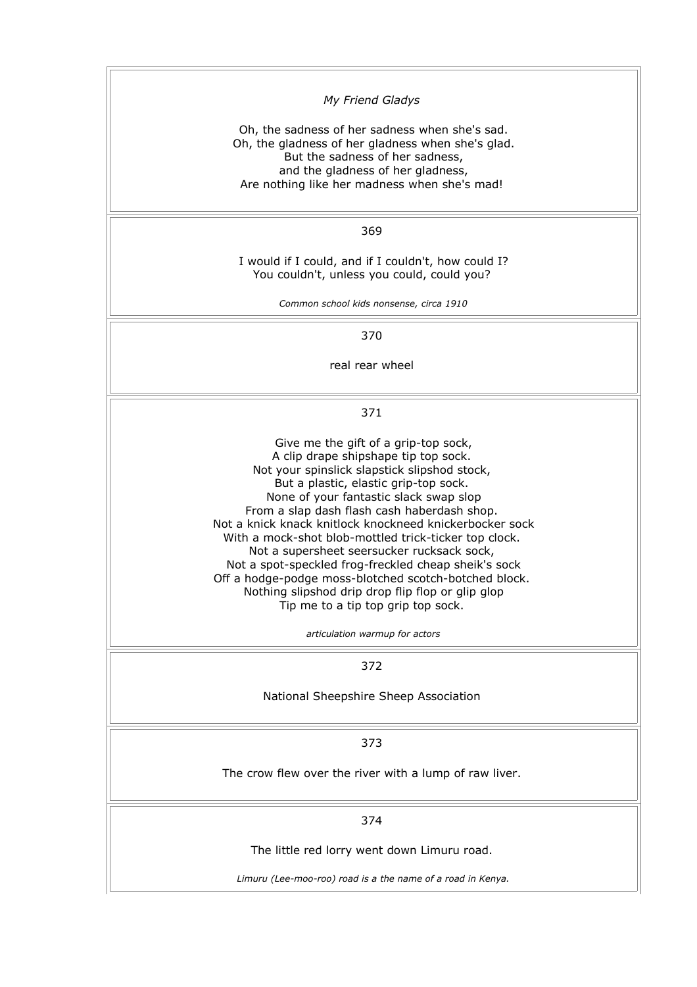| My Friend Gladys                                                                                                                                                                                                                                                                                                                                                                                                                                                                                                                                                                                                                                                               |
|--------------------------------------------------------------------------------------------------------------------------------------------------------------------------------------------------------------------------------------------------------------------------------------------------------------------------------------------------------------------------------------------------------------------------------------------------------------------------------------------------------------------------------------------------------------------------------------------------------------------------------------------------------------------------------|
| Oh, the sadness of her sadness when she's sad.<br>Oh, the gladness of her gladness when she's glad.<br>But the sadness of her sadness,<br>and the gladness of her gladness,<br>Are nothing like her madness when she's mad!                                                                                                                                                                                                                                                                                                                                                                                                                                                    |
| 369                                                                                                                                                                                                                                                                                                                                                                                                                                                                                                                                                                                                                                                                            |
| I would if I could, and if I couldn't, how could I?<br>You couldn't, unless you could, could you?                                                                                                                                                                                                                                                                                                                                                                                                                                                                                                                                                                              |
| Common school kids nonsense, circa 1910                                                                                                                                                                                                                                                                                                                                                                                                                                                                                                                                                                                                                                        |
| 370                                                                                                                                                                                                                                                                                                                                                                                                                                                                                                                                                                                                                                                                            |
| real rear wheel                                                                                                                                                                                                                                                                                                                                                                                                                                                                                                                                                                                                                                                                |
| 371                                                                                                                                                                                                                                                                                                                                                                                                                                                                                                                                                                                                                                                                            |
| Give me the gift of a grip-top sock,<br>A clip drape shipshape tip top sock.<br>Not your spinslick slapstick slipshod stock,<br>But a plastic, elastic grip-top sock.<br>None of your fantastic slack swap slop<br>From a slap dash flash cash haberdash shop.<br>Not a knick knack knitlock knockneed knickerbocker sock<br>With a mock-shot blob-mottled trick-ticker top clock.<br>Not a supersheet seersucker rucksack sock,<br>Not a spot-speckled frog-freckled cheap sheik's sock<br>Off a hodge-podge moss-blotched scotch-botched block.<br>Nothing slipshod drip drop flip flop or glip glop<br>Tip me to a tip top grip top sock.<br>articulation warmup for actors |
| 372                                                                                                                                                                                                                                                                                                                                                                                                                                                                                                                                                                                                                                                                            |
| National Sheepshire Sheep Association                                                                                                                                                                                                                                                                                                                                                                                                                                                                                                                                                                                                                                          |
| 373                                                                                                                                                                                                                                                                                                                                                                                                                                                                                                                                                                                                                                                                            |
| The crow flew over the river with a lump of raw liver.                                                                                                                                                                                                                                                                                                                                                                                                                                                                                                                                                                                                                         |
| 374                                                                                                                                                                                                                                                                                                                                                                                                                                                                                                                                                                                                                                                                            |
| The little red lorry went down Limuru road.                                                                                                                                                                                                                                                                                                                                                                                                                                                                                                                                                                                                                                    |
| Limuru (Lee-moo-roo) road is a the name of a road in Kenya.                                                                                                                                                                                                                                                                                                                                                                                                                                                                                                                                                                                                                    |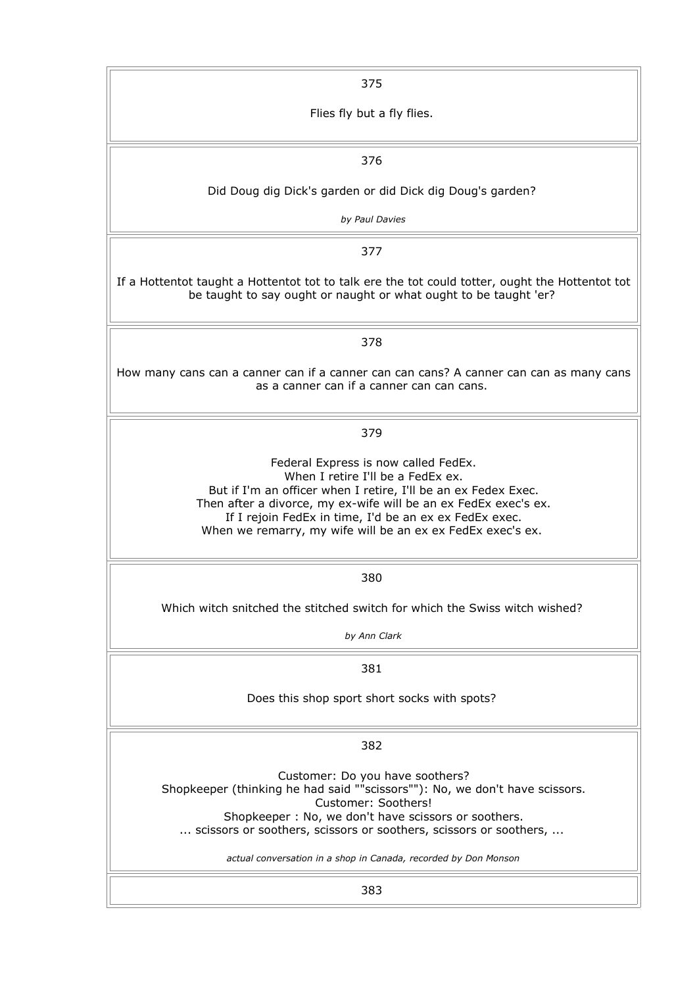| 375                                                                                                                                                                                                                                                                                                                                    |
|----------------------------------------------------------------------------------------------------------------------------------------------------------------------------------------------------------------------------------------------------------------------------------------------------------------------------------------|
| Flies fly but a fly flies.                                                                                                                                                                                                                                                                                                             |
| 376                                                                                                                                                                                                                                                                                                                                    |
|                                                                                                                                                                                                                                                                                                                                        |
| Did Doug dig Dick's garden or did Dick dig Doug's garden?<br>by Paul Davies                                                                                                                                                                                                                                                            |
|                                                                                                                                                                                                                                                                                                                                        |
| 377                                                                                                                                                                                                                                                                                                                                    |
| If a Hottentot taught a Hottentot tot to talk ere the tot could totter, ought the Hottentot tot<br>be taught to say ought or naught or what ought to be taught 'er?                                                                                                                                                                    |
| 378                                                                                                                                                                                                                                                                                                                                    |
| How many cans can a canner can if a canner can can cans? A canner can can as many cans<br>as a canner can if a canner can can cans.                                                                                                                                                                                                    |
| 379                                                                                                                                                                                                                                                                                                                                    |
| Federal Express is now called FedEx.<br>When I retire I'll be a FedEx ex.<br>But if I'm an officer when I retire, I'll be an ex Fedex Exec.<br>Then after a divorce, my ex-wife will be an ex FedEx exec's ex.<br>If I rejoin FedEx in time, I'd be an ex ex FedEx exec.<br>When we remarry, my wife will be an ex ex FedEx exec's ex. |
| 380                                                                                                                                                                                                                                                                                                                                    |
| Which witch snitched the stitched switch for which the Swiss witch wished?                                                                                                                                                                                                                                                             |
| by Ann Clark                                                                                                                                                                                                                                                                                                                           |
| 381                                                                                                                                                                                                                                                                                                                                    |
| Does this shop sport short socks with spots?                                                                                                                                                                                                                                                                                           |
| 382                                                                                                                                                                                                                                                                                                                                    |
| Customer: Do you have soothers?<br>Shopkeeper (thinking he had said ""scissors""): No, we don't have scissors.<br>Customer: Soothers!<br>Shopkeeper: No, we don't have scissors or soothers.<br>scissors or soothers, scissors or soothers, scissors or soothers,                                                                      |
| actual conversation in a shop in Canada, recorded by Don Monson                                                                                                                                                                                                                                                                        |
| 383                                                                                                                                                                                                                                                                                                                                    |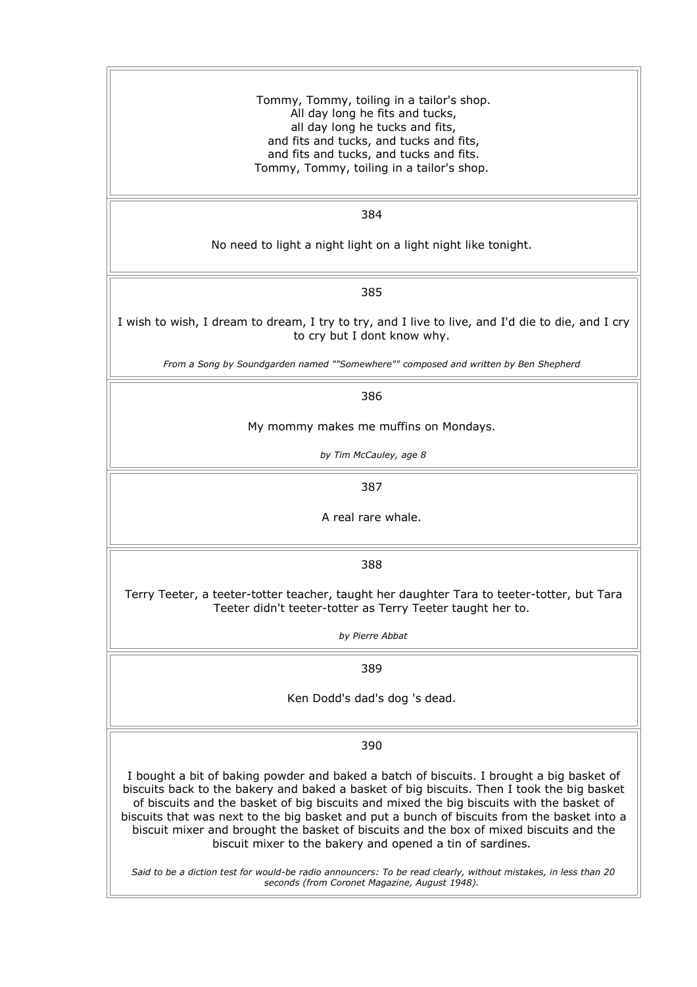Tommy, Tommy, toiling in a tailor's shop. All day long he fits and tucks, all day long he tucks and fits, and fits and tucks, and tucks and fits, and fits and tucks, and tucks and fits. Tommy, Tommy, toiling in a tailor's shop.

384

No need to light a night light on a light night like tonight.

385

I wish to wish, I dream to dream, I try to try, and I live to live, and I'd die to die, and I cry to cry but I dont know why.

*From a Song by Soundgarden named ""Somewhere"" composed and written by Ben Shepherd* 

386

My mommy makes me muffins on Mondays.

*by Tim McCauley, age 8*

387

A real rare whale.

388

Terry Teeter, a teeter-totter teacher, taught her daughter Tara to teeter-totter, but Tara Teeter didn't teeter-totter as Terry Teeter taught her to.

*by Pierre Abbat*

389

Ken Dodd's dad's dog 's dead.

390

I bought a bit of baking powder and baked a batch of biscuits. I brought a big basket of biscuits back to the bakery and baked a basket of big biscuits. Then I took the big basket of biscuits and the basket of big biscuits and mixed the big biscuits with the basket of biscuits that was next to the big basket and put a bunch of biscuits from the basket into a biscuit mixer and brought the basket of biscuits and the box of mixed biscuits and the biscuit mixer to the bakery and opened a tin of sardines.

*Said to be a diction test for would-be radio announcers: To be read clearly, without mistakes, in less than 20 seconds (from Coronet Magazine, August 1948).*